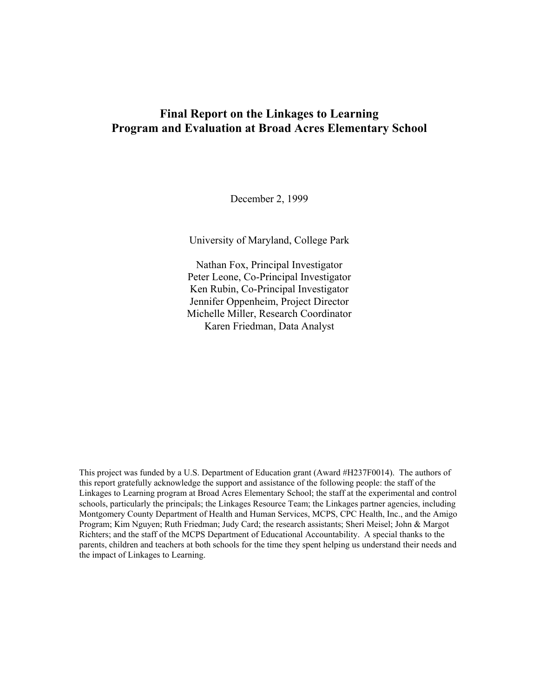## **Final Report on the Linkages to Learning Program and Evaluation at Broad Acres Elementary School**

December 2, 1999

University of Maryland, College Park

Nathan Fox, Principal Investigator Peter Leone, Co-Principal Investigator Ken Rubin, Co-Principal Investigator Jennifer Oppenheim, Project Director Michelle Miller, Research Coordinator Karen Friedman, Data Analyst

This project was funded by a U.S. Department of Education grant (Award #H237F0014). The authors of this report gratefully acknowledge the support and assistance of the following people: the staff of the Linkages to Learning program at Broad Acres Elementary School; the staff at the experimental and control schools, particularly the principals; the Linkages Resource Team; the Linkages partner agencies, including Montgomery County Department of Health and Human Services, MCPS, CPC Health, Inc., and the Amigo Program; Kim Nguyen; Ruth Friedman; Judy Card; the research assistants; Sheri Meisel; John & Margot Richters; and the staff of the MCPS Department of Educational Accountability. A special thanks to the parents, children and teachers at both schools for the time they spent helping us understand their needs and the impact of Linkages to Learning.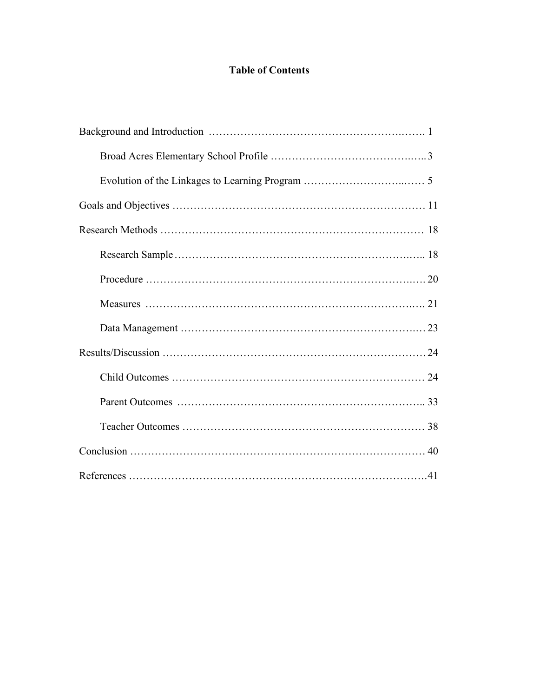# **Table of Contents**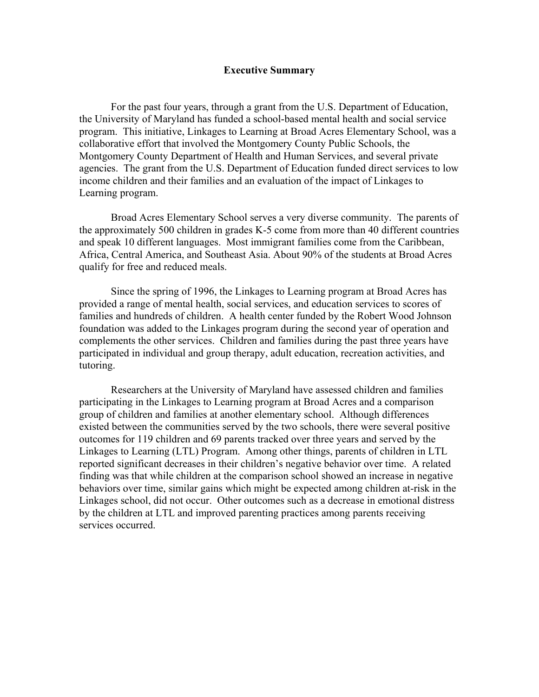### **Executive Summary**

For the past four years, through a grant from the U.S. Department of Education, the University of Maryland has funded a school-based mental health and social service program. This initiative, Linkages to Learning at Broad Acres Elementary School, was a collaborative effort that involved the Montgomery County Public Schools, the Montgomery County Department of Health and Human Services, and several private agencies. The grant from the U.S. Department of Education funded direct services to low income children and their families and an evaluation of the impact of Linkages to Learning program.

 Broad Acres Elementary School serves a very diverse community. The parents of the approximately 500 children in grades K-5 come from more than 40 different countries and speak 10 different languages. Most immigrant families come from the Caribbean, Africa, Central America, and Southeast Asia. About 90% of the students at Broad Acres qualify for free and reduced meals.

 Since the spring of 1996, the Linkages to Learning program at Broad Acres has provided a range of mental health, social services, and education services to scores of families and hundreds of children. A health center funded by the Robert Wood Johnson foundation was added to the Linkages program during the second year of operation and complements the other services. Children and families during the past three years have participated in individual and group therapy, adult education, recreation activities, and tutoring.

 Researchers at the University of Maryland have assessed children and families participating in the Linkages to Learning program at Broad Acres and a comparison group of children and families at another elementary school. Although differences existed between the communities served by the two schools, there were several positive outcomes for 119 children and 69 parents tracked over three years and served by the Linkages to Learning (LTL) Program. Among other things, parents of children in LTL reported significant decreases in their children's negative behavior over time. A related finding was that while children at the comparison school showed an increase in negative behaviors over time, similar gains which might be expected among children at-risk in the Linkages school, did not occur. Other outcomes such as a decrease in emotional distress by the children at LTL and improved parenting practices among parents receiving services occurred.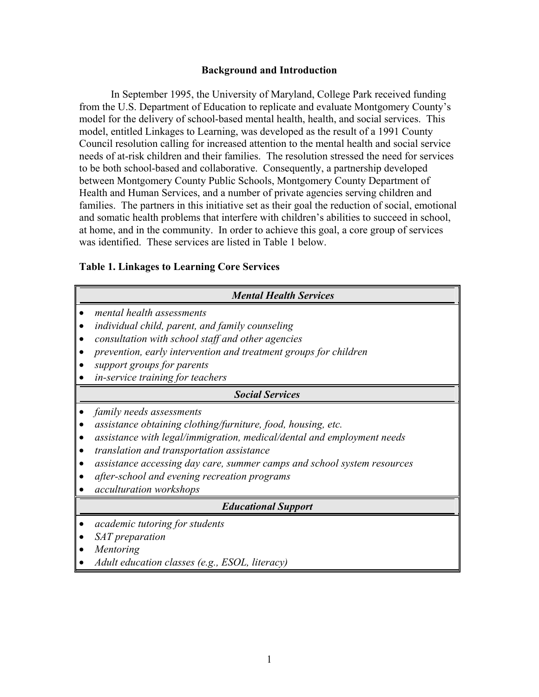### **Background and Introduction**

In September 1995, the University of Maryland, College Park received funding from the U.S. Department of Education to replicate and evaluate Montgomery County's model for the delivery of school-based mental health, health, and social services. This model, entitled Linkages to Learning, was developed as the result of a 1991 County Council resolution calling for increased attention to the mental health and social service needs of at-risk children and their families. The resolution stressed the need for services to be both school-based and collaborative. Consequently, a partnership developed between Montgomery County Public Schools, Montgomery County Department of Health and Human Services, and a number of private agencies serving children and families. The partners in this initiative set as their goal the reduction of social, emotional and somatic health problems that interfere with children's abilities to succeed in school, at home, and in the community. In order to achieve this goal, a core group of services was identified. These services are listed in Table 1 below.

## **Table 1. Linkages to Learning Core Services**

| <b>Mental Health Services</b>                                                                                                                                                                                                                                                                                                                                         |
|-----------------------------------------------------------------------------------------------------------------------------------------------------------------------------------------------------------------------------------------------------------------------------------------------------------------------------------------------------------------------|
| mental health assessments<br>individual child, parent, and family counseling<br>consultation with school staff and other agencies<br>prevention, early intervention and treatment groups for children<br>support groups for parents<br>in-service training for teachers                                                                                               |
| <b>Social Services</b>                                                                                                                                                                                                                                                                                                                                                |
| family needs assessments<br>assistance obtaining clothing/furniture, food, housing, etc.<br>assistance with legal/immigration, medical/dental and employment needs<br>translation and transportation assistance<br>assistance accessing day care, summer camps and school system resources<br>after-school and evening recreation programs<br>acculturation workshops |
| <b>Educational Support</b>                                                                                                                                                                                                                                                                                                                                            |
| <i>academic tutoring for students</i><br>SAT preparation<br>Mentoring<br>Adult education classes (e.g., ESOL, literacy)                                                                                                                                                                                                                                               |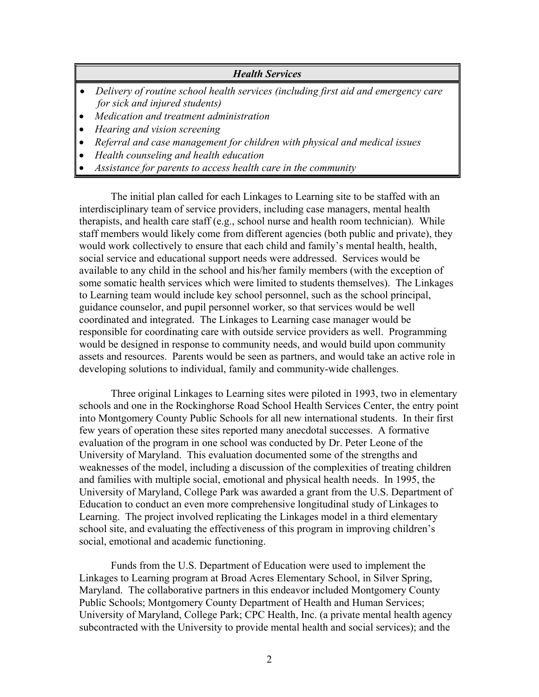## *Health Services*

- *Delivery of routine school health services (including first aid and emergency care for sick and injured students)*
- *Medication and treatment administration*
- *Hearing and vision screening*
- *Referral and case management for children with physical and medical issues*
- *Health counseling and health education*
- *Assistance for parents to access health care in the community*

The initial plan called for each Linkages to Learning site to be staffed with an interdisciplinary team of service providers, including case managers, mental health therapists, and health care staff (e.g., school nurse and health room technician). While staff members would likely come from different agencies (both public and private), they would work collectively to ensure that each child and family's mental health, health, social service and educational support needs were addressed. Services would be available to any child in the school and his/her family members (with the exception of some somatic health services which were limited to students themselves). The Linkages to Learning team would include key school personnel, such as the school principal, guidance counselor, and pupil personnel worker, so that services would be well coordinated and integrated. The Linkages to Learning case manager would be responsible for coordinating care with outside service providers as well. Programming would be designed in response to community needs, and would build upon community assets and resources. Parents would be seen as partners, and would take an active role in developing solutions to individual, family and community-wide challenges.

Three original Linkages to Learning sites were piloted in 1993, two in elementary schools and one in the Rockinghorse Road School Health Services Center, the entry point into Montgomery County Public Schools for all new international students. In their first few years of operation these sites reported many anecdotal successes. A formative evaluation of the program in one school was conducted by Dr. Peter Leone of the University of Maryland. This evaluation documented some of the strengths and weaknesses of the model, including a discussion of the complexities of treating children and families with multiple social, emotional and physical health needs. In 1995, the University of Maryland, College Park was awarded a grant from the U.S. Department of Education to conduct an even more comprehensive longitudinal study of Linkages to Learning. The project involved replicating the Linkages model in a third elementary school site, and evaluating the effectiveness of this program in improving children's social, emotional and academic functioning.

Funds from the U.S. Department of Education were used to implement the Linkages to Learning program at Broad Acres Elementary School, in Silver Spring, Maryland. The collaborative partners in this endeavor included Montgomery County Public Schools; Montgomery County Department of Health and Human Services; University of Maryland, College Park; CPC Health, Inc. (a private mental health agency subcontracted with the University to provide mental health and social services); and the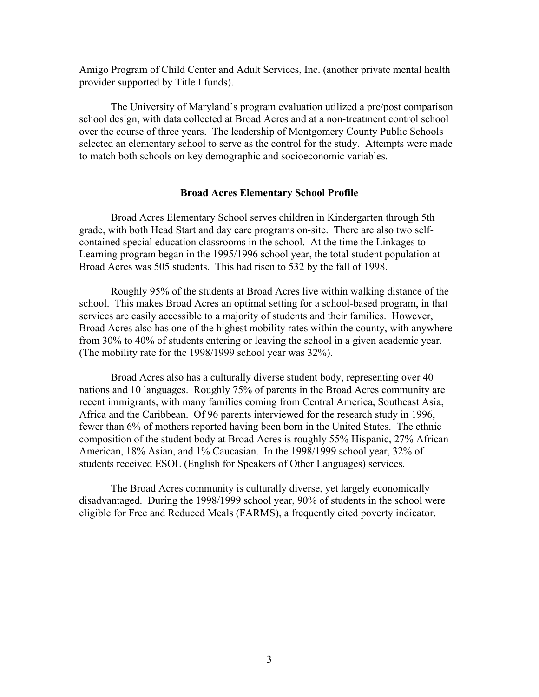Amigo Program of Child Center and Adult Services, Inc. (another private mental health provider supported by Title I funds).

The University of Maryland's program evaluation utilized a pre/post comparison school design, with data collected at Broad Acres and at a non-treatment control school over the course of three years. The leadership of Montgomery County Public Schools selected an elementary school to serve as the control for the study. Attempts were made to match both schools on key demographic and socioeconomic variables.

### **Broad Acres Elementary School Profile**

Broad Acres Elementary School serves children in Kindergarten through 5th grade, with both Head Start and day care programs on-site. There are also two selfcontained special education classrooms in the school. At the time the Linkages to Learning program began in the 1995/1996 school year, the total student population at Broad Acres was 505 students. This had risen to 532 by the fall of 1998.

Roughly 95% of the students at Broad Acres live within walking distance of the school. This makes Broad Acres an optimal setting for a school-based program, in that services are easily accessible to a majority of students and their families. However, Broad Acres also has one of the highest mobility rates within the county, with anywhere from 30% to 40% of students entering or leaving the school in a given academic year. (The mobility rate for the 1998/1999 school year was 32%).

Broad Acres also has a culturally diverse student body, representing over 40 nations and 10 languages. Roughly 75% of parents in the Broad Acres community are recent immigrants, with many families coming from Central America, Southeast Asia, Africa and the Caribbean. Of 96 parents interviewed for the research study in 1996, fewer than 6% of mothers reported having been born in the United States. The ethnic composition of the student body at Broad Acres is roughly 55% Hispanic, 27% African American, 18% Asian, and 1% Caucasian. In the 1998/1999 school year, 32% of students received ESOL (English for Speakers of Other Languages) services.

The Broad Acres community is culturally diverse, yet largely economically disadvantaged. During the 1998/1999 school year, 90% of students in the school were eligible for Free and Reduced Meals (FARMS), a frequently cited poverty indicator.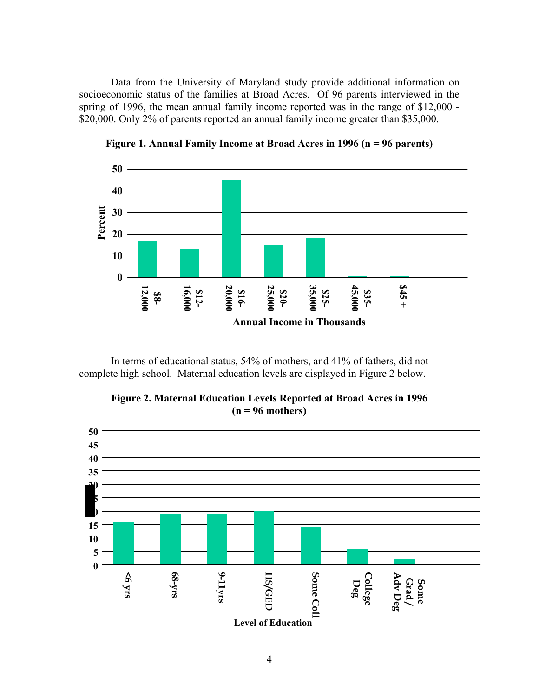Data from the University of Maryland study provide additional information on socioeconomic status of the families at Broad Acres. Of 96 parents interviewed in the spring of 1996, the mean annual family income reported was in the range of \$12,000 - \$20,000. Only 2% of parents reported an annual family income greater than \$35,000.



**Figure 1. Annual Family Income at Broad Acres in 1996 (n = 96 parents)** 

In terms of educational status, 54% of mothers, and 41% of fathers, did not complete high school. Maternal education levels are displayed in Figure 2 below.



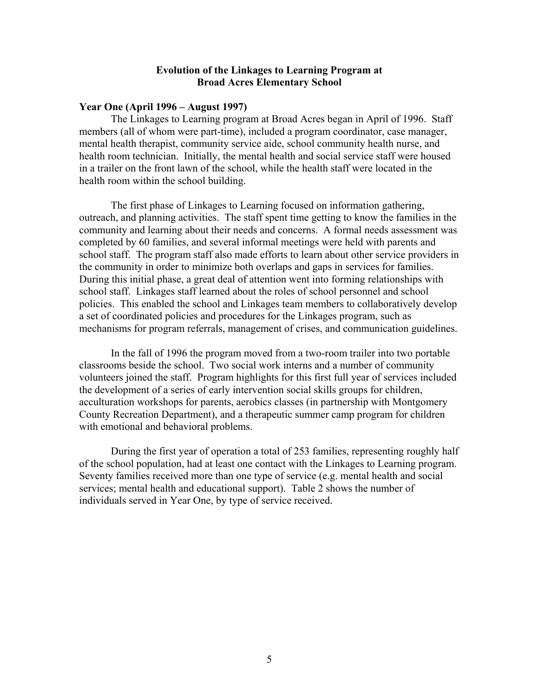## **Evolution of the Linkages to Learning Program at Broad Acres Elementary School**

### **Year One (April 1996 – August 1997)**

The Linkages to Learning program at Broad Acres began in April of 1996. Staff members (all of whom were part-time), included a program coordinator, case manager, mental health therapist, community service aide, school community health nurse, and health room technician. Initially, the mental health and social service staff were housed in a trailer on the front lawn of the school, while the health staff were located in the health room within the school building.

The first phase of Linkages to Learning focused on information gathering, outreach, and planning activities. The staff spent time getting to know the families in the community and learning about their needs and concerns. A formal needs assessment was completed by 60 families, and several informal meetings were held with parents and school staff. The program staff also made efforts to learn about other service providers in the community in order to minimize both overlaps and gaps in services for families. During this initial phase, a great deal of attention went into forming relationships with school staff. Linkages staff learned about the roles of school personnel and school policies. This enabled the school and Linkages team members to collaboratively develop a set of coordinated policies and procedures for the Linkages program, such as mechanisms for program referrals, management of crises, and communication guidelines.

In the fall of 1996 the program moved from a two-room trailer into two portable classrooms beside the school. Two social work interns and a number of community volunteers joined the staff. Program highlights for this first full year of services included the development of a series of early intervention social skills groups for children, acculturation workshops for parents, aerobics classes (in partnership with Montgomery County Recreation Department), and a therapeutic summer camp program for children with emotional and behavioral problems.

During the first year of operation a total of 253 families, representing roughly half of the school population, had at least one contact with the Linkages to Learning program. Seventy families received more than one type of service (e.g. mental health and social services; mental health and educational support). Table 2 shows the number of individuals served in Year One, by type of service received.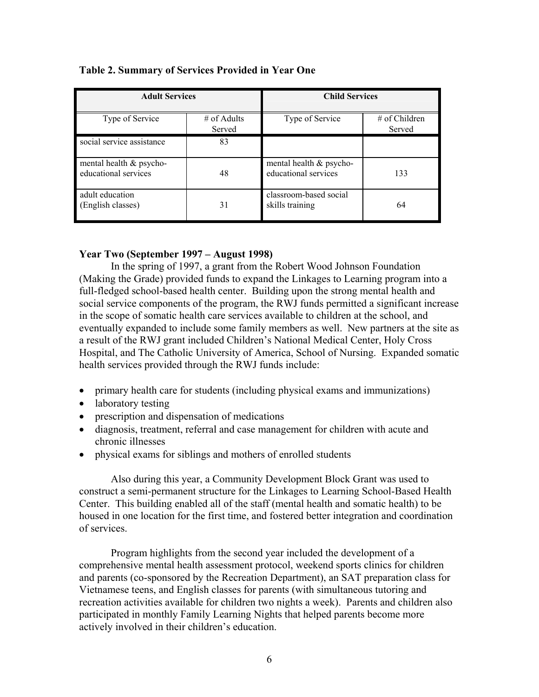| <b>Adult Services</b>                              |                         | <b>Child Services</b>                           |                           |  |
|----------------------------------------------------|-------------------------|-------------------------------------------------|---------------------------|--|
| Type of Service                                    | $#$ of Adults<br>Served | Type of Service                                 | $#$ of Children<br>Served |  |
| social service assistance                          | 83                      |                                                 |                           |  |
| mental health $\&$ psycho-<br>educational services | 48                      | mental health & psycho-<br>educational services | 133                       |  |
| adult education<br>(English classes)               | 31                      | classroom-based social<br>skills training       | 64                        |  |

## **Table 2. Summary of Services Provided in Year One**

## **Year Two (September 1997 – August 1998)**

In the spring of 1997, a grant from the Robert Wood Johnson Foundation (Making the Grade) provided funds to expand the Linkages to Learning program into a full-fledged school-based health center. Building upon the strong mental health and social service components of the program, the RWJ funds permitted a significant increase in the scope of somatic health care services available to children at the school, and eventually expanded to include some family members as well. New partners at the site as a result of the RWJ grant included Children's National Medical Center, Holy Cross Hospital, and The Catholic University of America, School of Nursing. Expanded somatic health services provided through the RWJ funds include:

- primary health care for students (including physical exams and immunizations)
- laboratory testing
- prescription and dispensation of medications
- diagnosis, treatment, referral and case management for children with acute and chronic illnesses
- physical exams for siblings and mothers of enrolled students

Also during this year, a Community Development Block Grant was used to construct a semi-permanent structure for the Linkages to Learning School-Based Health Center. This building enabled all of the staff (mental health and somatic health) to be housed in one location for the first time, and fostered better integration and coordination of services.

Program highlights from the second year included the development of a comprehensive mental health assessment protocol, weekend sports clinics for children and parents (co-sponsored by the Recreation Department), an SAT preparation class for Vietnamese teens, and English classes for parents (with simultaneous tutoring and recreation activities available for children two nights a week). Parents and children also participated in monthly Family Learning Nights that helped parents become more actively involved in their children's education.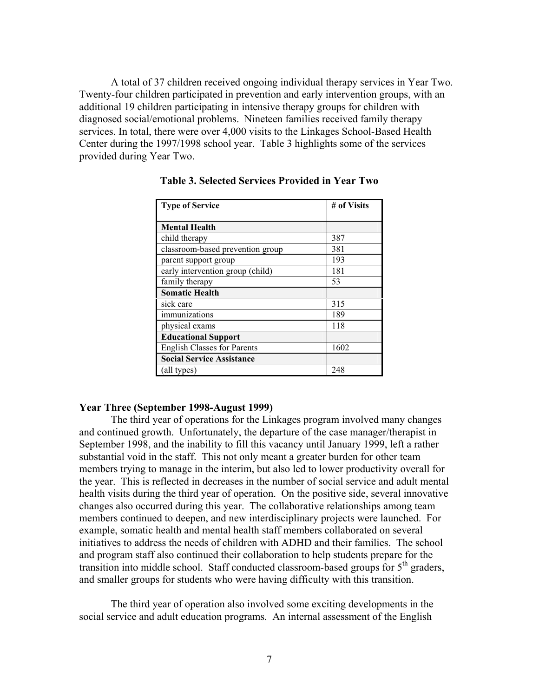A total of 37 children received ongoing individual therapy services in Year Two. Twenty-four children participated in prevention and early intervention groups, with an additional 19 children participating in intensive therapy groups for children with diagnosed social/emotional problems. Nineteen families received family therapy services. In total, there were over 4,000 visits to the Linkages School-Based Health Center during the 1997/1998 school year. Table 3 highlights some of the services provided during Year Two.

| <b>Type of Service</b>             | # of Visits |
|------------------------------------|-------------|
| <b>Mental Health</b>               |             |
| child therapy                      | 387         |
| classroom-based prevention group   | 381         |
| parent support group               | 193         |
| early intervention group (child)   | 181         |
| family therapy                     | 53          |
| <b>Somatic Health</b>              |             |
| sick care                          | 315         |
| immunizations                      | 189         |
| physical exams                     | 118         |
| <b>Educational Support</b>         |             |
| <b>English Classes for Parents</b> | 1602        |
| <b>Social Service Assistance</b>   |             |
| (all types)                        | 248         |

**Table 3. Selected Services Provided in Year Two** 

## **Year Three (September 1998-August 1999)**

The third year of operations for the Linkages program involved many changes and continued growth. Unfortunately, the departure of the case manager/therapist in September 1998, and the inability to fill this vacancy until January 1999, left a rather substantial void in the staff. This not only meant a greater burden for other team members trying to manage in the interim, but also led to lower productivity overall for the year. This is reflected in decreases in the number of social service and adult mental health visits during the third year of operation. On the positive side, several innovative changes also occurred during this year. The collaborative relationships among team members continued to deepen, and new interdisciplinary projects were launched. For example, somatic health and mental health staff members collaborated on several initiatives to address the needs of children with ADHD and their families. The school and program staff also continued their collaboration to help students prepare for the transition into middle school. Staff conducted classroom-based groups for  $5<sup>th</sup>$  graders, and smaller groups for students who were having difficulty with this transition.

The third year of operation also involved some exciting developments in the social service and adult education programs. An internal assessment of the English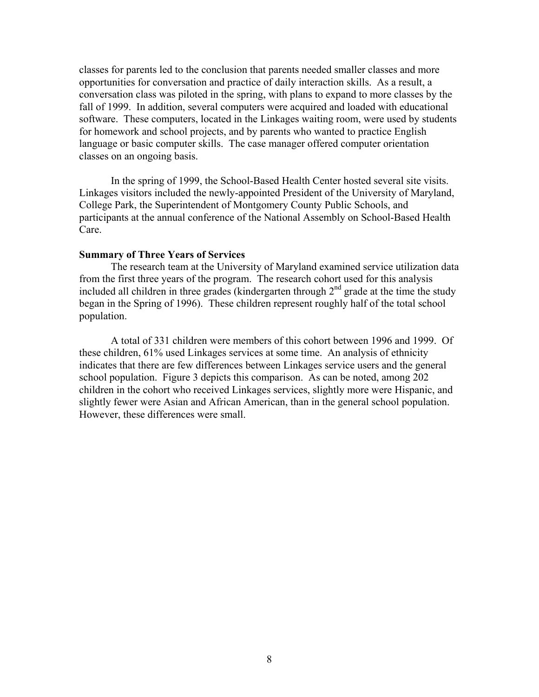classes for parents led to the conclusion that parents needed smaller classes and more opportunities for conversation and practice of daily interaction skills. As a result, a conversation class was piloted in the spring, with plans to expand to more classes by the fall of 1999. In addition, several computers were acquired and loaded with educational software. These computers, located in the Linkages waiting room, were used by students for homework and school projects, and by parents who wanted to practice English language or basic computer skills. The case manager offered computer orientation classes on an ongoing basis.

In the spring of 1999, the School-Based Health Center hosted several site visits. Linkages visitors included the newly-appointed President of the University of Maryland, College Park, the Superintendent of Montgomery County Public Schools, and participants at the annual conference of the National Assembly on School-Based Health Care.

#### **Summary of Three Years of Services**

The research team at the University of Maryland examined service utilization data from the first three years of the program. The research cohort used for this analysis included all children in three grades (kindergarten through  $2<sup>nd</sup>$  grade at the time the study began in the Spring of 1996). These children represent roughly half of the total school population.

A total of 331 children were members of this cohort between 1996 and 1999. Of these children, 61% used Linkages services at some time. An analysis of ethnicity indicates that there are few differences between Linkages service users and the general school population. Figure 3 depicts this comparison. As can be noted, among 202 children in the cohort who received Linkages services, slightly more were Hispanic, and slightly fewer were Asian and African American, than in the general school population. However, these differences were small.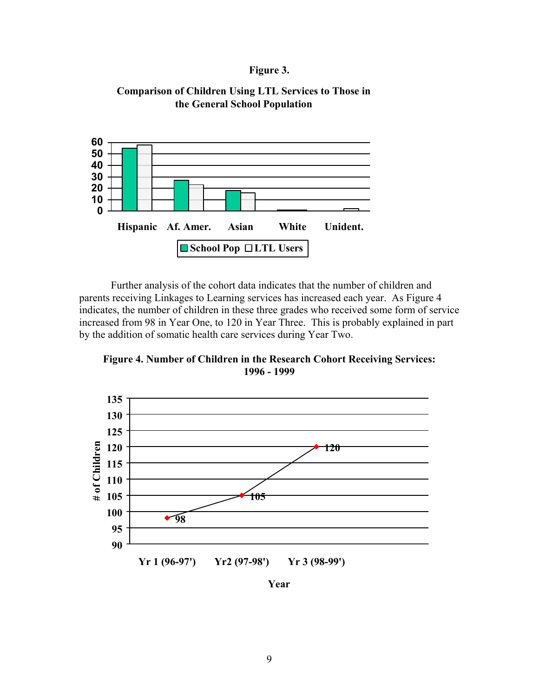## **Figure 3.**

## **Comparison of Children Using LTL Services to Those in the General School Population**



Further analysis of the cohort data indicates that the number of children and parents receiving Linkages to Learning services has increased each year. As Figure 4 indicates, the number of children in these three grades who received some form of service increased from 98 in Year One, to 120 in Year Three. This is probably explained in part by the addition of somatic health care services during Year Two.

**Figure 4. Number of Children in the Research Cohort Receiving Services: 1996 - 1999** 



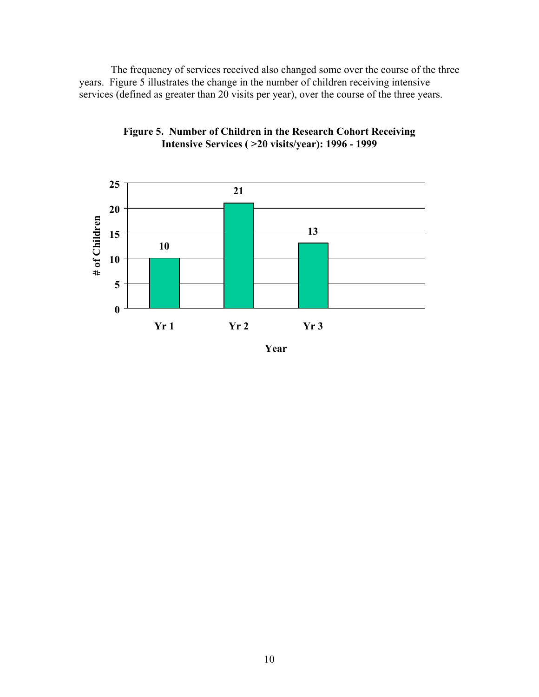The frequency of services received also changed some over the course of the three years. Figure 5 illustrates the change in the number of children receiving intensive services (defined as greater than 20 visits per year), over the course of the three years.



**Figure 5. Number of Children in the Research Cohort Receiving Intensive Services ( >20 visits/year): 1996 - 1999** 

**Year**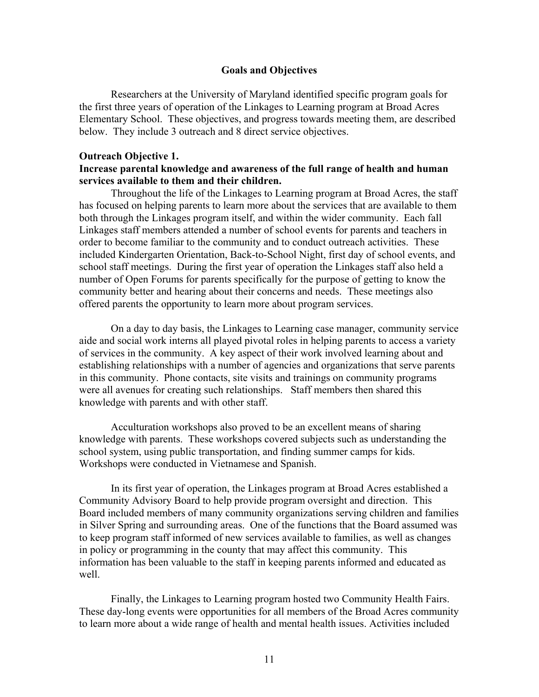### **Goals and Objectives**

Researchers at the University of Maryland identified specific program goals for the first three years of operation of the Linkages to Learning program at Broad Acres Elementary School. These objectives, and progress towards meeting them, are described below. They include 3 outreach and 8 direct service objectives.

### **Outreach Objective 1.**

## **Increase parental knowledge and awareness of the full range of health and human services available to them and their children.**

Throughout the life of the Linkages to Learning program at Broad Acres, the staff has focused on helping parents to learn more about the services that are available to them both through the Linkages program itself, and within the wider community. Each fall Linkages staff members attended a number of school events for parents and teachers in order to become familiar to the community and to conduct outreach activities. These included Kindergarten Orientation, Back-to-School Night, first day of school events, and school staff meetings. During the first year of operation the Linkages staff also held a number of Open Forums for parents specifically for the purpose of getting to know the community better and hearing about their concerns and needs. These meetings also offered parents the opportunity to learn more about program services.

On a day to day basis, the Linkages to Learning case manager, community service aide and social work interns all played pivotal roles in helping parents to access a variety of services in the community. A key aspect of their work involved learning about and establishing relationships with a number of agencies and organizations that serve parents in this community. Phone contacts, site visits and trainings on community programs were all avenues for creating such relationships. Staff members then shared this knowledge with parents and with other staff.

Acculturation workshops also proved to be an excellent means of sharing knowledge with parents. These workshops covered subjects such as understanding the school system, using public transportation, and finding summer camps for kids. Workshops were conducted in Vietnamese and Spanish.

In its first year of operation, the Linkages program at Broad Acres established a Community Advisory Board to help provide program oversight and direction. This Board included members of many community organizations serving children and families in Silver Spring and surrounding areas. One of the functions that the Board assumed was to keep program staff informed of new services available to families, as well as changes in policy or programming in the county that may affect this community. This information has been valuable to the staff in keeping parents informed and educated as well.

Finally, the Linkages to Learning program hosted two Community Health Fairs. These day-long events were opportunities for all members of the Broad Acres community to learn more about a wide range of health and mental health issues. Activities included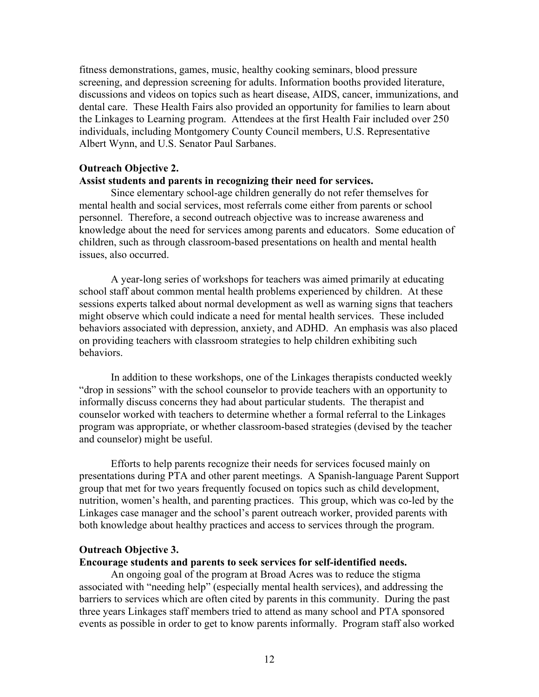fitness demonstrations, games, music, healthy cooking seminars, blood pressure screening, and depression screening for adults. Information booths provided literature, discussions and videos on topics such as heart disease, AIDS, cancer, immunizations, and dental care. These Health Fairs also provided an opportunity for families to learn about the Linkages to Learning program. Attendees at the first Health Fair included over 250 individuals, including Montgomery County Council members, U.S. Representative Albert Wynn, and U.S. Senator Paul Sarbanes.

### **Outreach Objective 2.**

### **Assist students and parents in recognizing their need for services.**

Since elementary school-age children generally do not refer themselves for mental health and social services, most referrals come either from parents or school personnel. Therefore, a second outreach objective was to increase awareness and knowledge about the need for services among parents and educators. Some education of children, such as through classroom-based presentations on health and mental health issues, also occurred.

A year-long series of workshops for teachers was aimed primarily at educating school staff about common mental health problems experienced by children. At these sessions experts talked about normal development as well as warning signs that teachers might observe which could indicate a need for mental health services. These included behaviors associated with depression, anxiety, and ADHD. An emphasis was also placed on providing teachers with classroom strategies to help children exhibiting such behaviors.

In addition to these workshops, one of the Linkages therapists conducted weekly "drop in sessions" with the school counselor to provide teachers with an opportunity to informally discuss concerns they had about particular students. The therapist and counselor worked with teachers to determine whether a formal referral to the Linkages program was appropriate, or whether classroom-based strategies (devised by the teacher and counselor) might be useful.

Efforts to help parents recognize their needs for services focused mainly on presentations during PTA and other parent meetings. A Spanish-language Parent Support group that met for two years frequently focused on topics such as child development, nutrition, women's health, and parenting practices. This group, which was co-led by the Linkages case manager and the school's parent outreach worker, provided parents with both knowledge about healthy practices and access to services through the program.

### **Outreach Objective 3.**

## **Encourage students and parents to seek services for self-identified needs.**

An ongoing goal of the program at Broad Acres was to reduce the stigma associated with "needing help" (especially mental health services), and addressing the barriers to services which are often cited by parents in this community. During the past three years Linkages staff members tried to attend as many school and PTA sponsored events as possible in order to get to know parents informally. Program staff also worked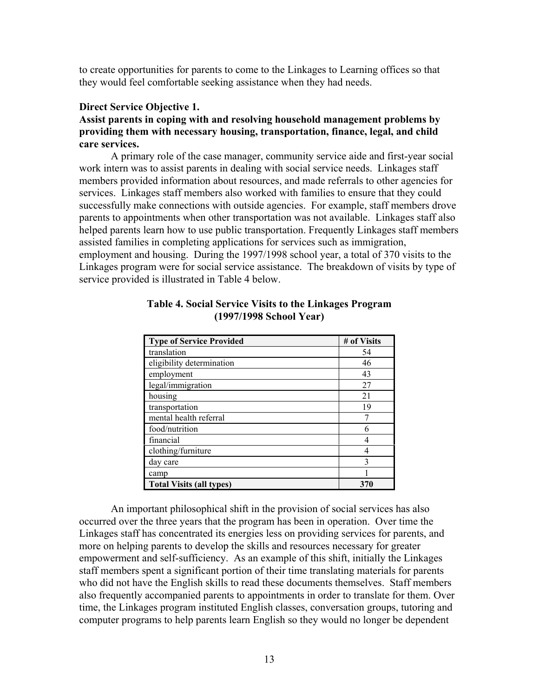to create opportunities for parents to come to the Linkages to Learning offices so that they would feel comfortable seeking assistance when they had needs.

## **Direct Service Objective 1.**

## **Assist parents in coping with and resolving household management problems by providing them with necessary housing, transportation, finance, legal, and child care services.**

A primary role of the case manager, community service aide and first-year social work intern was to assist parents in dealing with social service needs. Linkages staff members provided information about resources, and made referrals to other agencies for services. Linkages staff members also worked with families to ensure that they could successfully make connections with outside agencies. For example, staff members drove parents to appointments when other transportation was not available. Linkages staff also helped parents learn how to use public transportation. Frequently Linkages staff members assisted families in completing applications for services such as immigration, employment and housing. During the 1997/1998 school year, a total of 370 visits to the Linkages program were for social service assistance. The breakdown of visits by type of service provided is illustrated in Table 4 below.

| <b>Type of Service Provided</b> | # of Visits |
|---------------------------------|-------------|
| translation                     | 54          |
| eligibility determination       | 46          |
| employment                      | 43          |
| legal/immigration               | 27          |
| housing                         | 21          |
| transportation                  | 19          |
| mental health referral          |             |
| food/nutrition                  | 6           |
| financial                       |             |
| clothing/furniture              |             |
| day care                        | 3           |
| camp                            |             |
| <b>Total Visits (all types)</b> | 370         |

## **Table 4. Social Service Visits to the Linkages Program (1997/1998 School Year)**

An important philosophical shift in the provision of social services has also occurred over the three years that the program has been in operation. Over time the Linkages staff has concentrated its energies less on providing services for parents, and more on helping parents to develop the skills and resources necessary for greater empowerment and self-sufficiency. As an example of this shift, initially the Linkages staff members spent a significant portion of their time translating materials for parents who did not have the English skills to read these documents themselves. Staff members also frequently accompanied parents to appointments in order to translate for them. Over time, the Linkages program instituted English classes, conversation groups, tutoring and computer programs to help parents learn English so they would no longer be dependent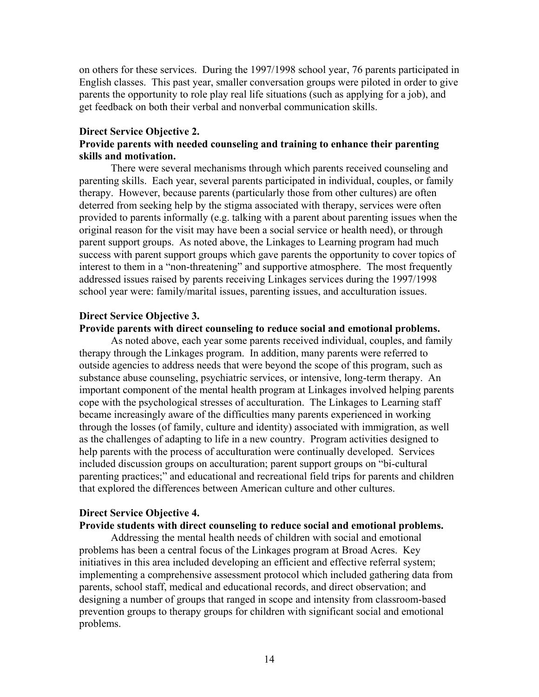on others for these services. During the 1997/1998 school year, 76 parents participated in English classes. This past year, smaller conversation groups were piloted in order to give parents the opportunity to role play real life situations (such as applying for a job), and get feedback on both their verbal and nonverbal communication skills.

## **Direct Service Objective 2.**

## **Provide parents with needed counseling and training to enhance their parenting skills and motivation.**

There were several mechanisms through which parents received counseling and parenting skills. Each year, several parents participated in individual, couples, or family therapy. However, because parents (particularly those from other cultures) are often deterred from seeking help by the stigma associated with therapy, services were often provided to parents informally (e.g. talking with a parent about parenting issues when the original reason for the visit may have been a social service or health need), or through parent support groups. As noted above, the Linkages to Learning program had much success with parent support groups which gave parents the opportunity to cover topics of interest to them in a "non-threatening" and supportive atmosphere. The most frequently addressed issues raised by parents receiving Linkages services during the 1997/1998 school year were: family/marital issues, parenting issues, and acculturation issues.

## **Direct Service Objective 3.**

## **Provide parents with direct counseling to reduce social and emotional problems.**

As noted above, each year some parents received individual, couples, and family therapy through the Linkages program. In addition, many parents were referred to outside agencies to address needs that were beyond the scope of this program, such as substance abuse counseling, psychiatric services, or intensive, long-term therapy. An important component of the mental health program at Linkages involved helping parents cope with the psychological stresses of acculturation. The Linkages to Learning staff became increasingly aware of the difficulties many parents experienced in working through the losses (of family, culture and identity) associated with immigration, as well as the challenges of adapting to life in a new country. Program activities designed to help parents with the process of acculturation were continually developed. Services included discussion groups on acculturation; parent support groups on "bi-cultural parenting practices;" and educational and recreational field trips for parents and children that explored the differences between American culture and other cultures.

## **Direct Service Objective 4.**

## **Provide students with direct counseling to reduce social and emotional problems.**

Addressing the mental health needs of children with social and emotional problems has been a central focus of the Linkages program at Broad Acres. Key initiatives in this area included developing an efficient and effective referral system; implementing a comprehensive assessment protocol which included gathering data from parents, school staff, medical and educational records, and direct observation; and designing a number of groups that ranged in scope and intensity from classroom-based prevention groups to therapy groups for children with significant social and emotional problems.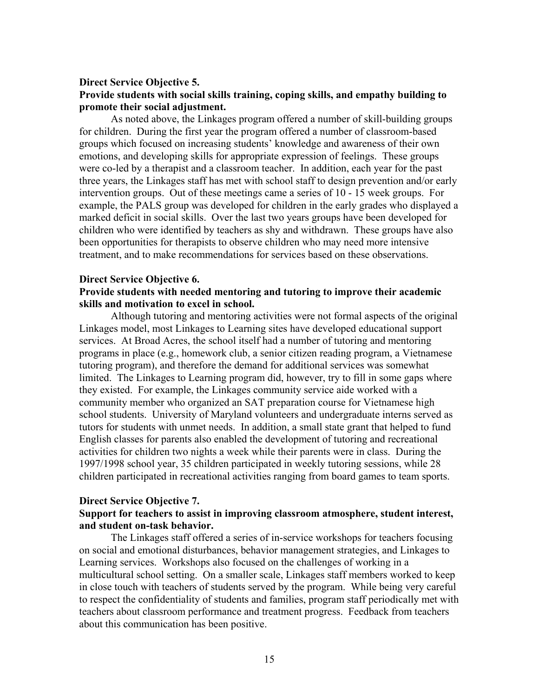## **Direct Service Objective 5. Provide students with social skills training, coping skills, and empathy building to promote their social adjustment.**

As noted above, the Linkages program offered a number of skill-building groups for children. During the first year the program offered a number of classroom-based groups which focused on increasing students' knowledge and awareness of their own emotions, and developing skills for appropriate expression of feelings. These groups were co-led by a therapist and a classroom teacher. In addition, each year for the past three years, the Linkages staff has met with school staff to design prevention and/or early intervention groups. Out of these meetings came a series of 10 - 15 week groups. For example, the PALS group was developed for children in the early grades who displayed a marked deficit in social skills. Over the last two years groups have been developed for children who were identified by teachers as shy and withdrawn. These groups have also been opportunities for therapists to observe children who may need more intensive treatment, and to make recommendations for services based on these observations.

## **Direct Service Objective 6. Provide students with needed mentoring and tutoring to improve their academic skills and motivation to excel in school.**

Although tutoring and mentoring activities were not formal aspects of the original Linkages model, most Linkages to Learning sites have developed educational support services. At Broad Acres, the school itself had a number of tutoring and mentoring programs in place (e.g., homework club, a senior citizen reading program, a Vietnamese tutoring program), and therefore the demand for additional services was somewhat limited. The Linkages to Learning program did, however, try to fill in some gaps where they existed. For example, the Linkages community service aide worked with a community member who organized an SAT preparation course for Vietnamese high school students. University of Maryland volunteers and undergraduate interns served as tutors for students with unmet needs. In addition, a small state grant that helped to fund English classes for parents also enabled the development of tutoring and recreational activities for children two nights a week while their parents were in class. During the 1997/1998 school year, 35 children participated in weekly tutoring sessions, while 28 children participated in recreational activities ranging from board games to team sports.

## **Direct Service Objective 7.**

## **Support for teachers to assist in improving classroom atmosphere, student interest, and student on-task behavior.**

The Linkages staff offered a series of in-service workshops for teachers focusing on social and emotional disturbances, behavior management strategies, and Linkages to Learning services. Workshops also focused on the challenges of working in a multicultural school setting. On a smaller scale, Linkages staff members worked to keep in close touch with teachers of students served by the program. While being very careful to respect the confidentiality of students and families, program staff periodically met with teachers about classroom performance and treatment progress. Feedback from teachers about this communication has been positive.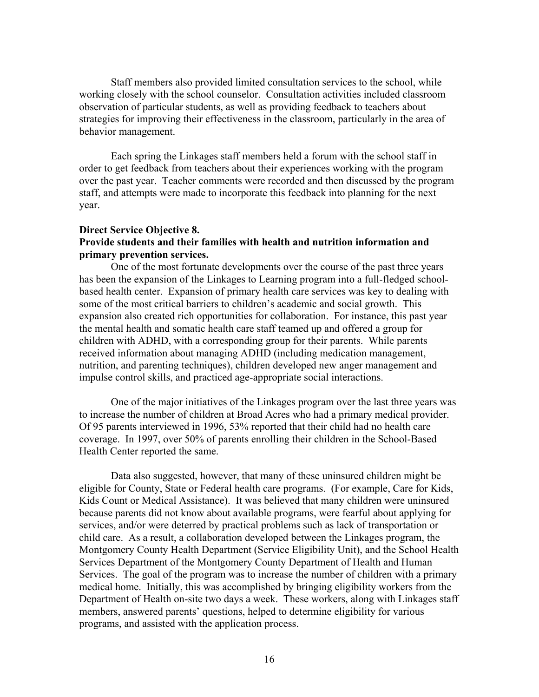Staff members also provided limited consultation services to the school, while working closely with the school counselor. Consultation activities included classroom observation of particular students, as well as providing feedback to teachers about strategies for improving their effectiveness in the classroom, particularly in the area of behavior management.

Each spring the Linkages staff members held a forum with the school staff in order to get feedback from teachers about their experiences working with the program over the past year. Teacher comments were recorded and then discussed by the program staff, and attempts were made to incorporate this feedback into planning for the next year.

## **Direct Service Objective 8. Provide students and their families with health and nutrition information and primary prevention services.**

One of the most fortunate developments over the course of the past three years has been the expansion of the Linkages to Learning program into a full-fledged schoolbased health center. Expansion of primary health care services was key to dealing with some of the most critical barriers to children's academic and social growth. This expansion also created rich opportunities for collaboration. For instance, this past year the mental health and somatic health care staff teamed up and offered a group for children with ADHD, with a corresponding group for their parents. While parents received information about managing ADHD (including medication management, nutrition, and parenting techniques), children developed new anger management and impulse control skills, and practiced age-appropriate social interactions.

One of the major initiatives of the Linkages program over the last three years was to increase the number of children at Broad Acres who had a primary medical provider. Of 95 parents interviewed in 1996, 53% reported that their child had no health care coverage. In 1997, over 50% of parents enrolling their children in the School-Based Health Center reported the same.

Data also suggested, however, that many of these uninsured children might be eligible for County, State or Federal health care programs. (For example, Care for Kids, Kids Count or Medical Assistance). It was believed that many children were uninsured because parents did not know about available programs, were fearful about applying for services, and/or were deterred by practical problems such as lack of transportation or child care. As a result, a collaboration developed between the Linkages program, the Montgomery County Health Department (Service Eligibility Unit), and the School Health Services Department of the Montgomery County Department of Health and Human Services. The goal of the program was to increase the number of children with a primary medical home. Initially, this was accomplished by bringing eligibility workers from the Department of Health on-site two days a week. These workers, along with Linkages staff members, answered parents' questions, helped to determine eligibility for various programs, and assisted with the application process.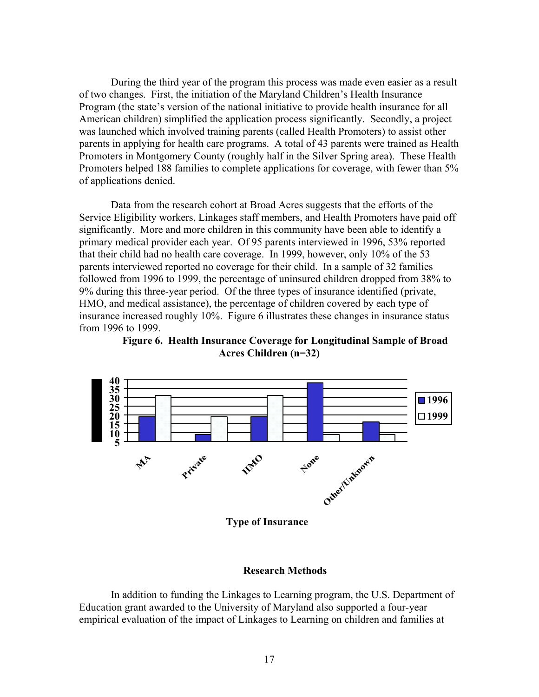During the third year of the program this process was made even easier as a result of two changes. First, the initiation of the Maryland Children's Health Insurance Program (the state's version of the national initiative to provide health insurance for all American children) simplified the application process significantly. Secondly, a project was launched which involved training parents (called Health Promoters) to assist other parents in applying for health care programs. A total of 43 parents were trained as Health Promoters in Montgomery County (roughly half in the Silver Spring area). These Health Promoters helped 188 families to complete applications for coverage, with fewer than 5% of applications denied.

Data from the research cohort at Broad Acres suggests that the efforts of the Service Eligibility workers, Linkages staff members, and Health Promoters have paid off significantly. More and more children in this community have been able to identify a primary medical provider each year. Of 95 parents interviewed in 1996, 53% reported that their child had no health care coverage. In 1999, however, only 10% of the 53 parents interviewed reported no coverage for their child. In a sample of 32 families followed from 1996 to 1999, the percentage of uninsured children dropped from 38% to 9% during this three-year period. Of the three types of insurance identified (private, HMO, and medical assistance), the percentage of children covered by each type of insurance increased roughly 10%. Figure 6 illustrates these changes in insurance status from 1996 to 1999.





**Type of Insurance**

### **Research Methods**

In addition to funding the Linkages to Learning program, the U.S. Department of Education grant awarded to the University of Maryland also supported a four-year empirical evaluation of the impact of Linkages to Learning on children and families at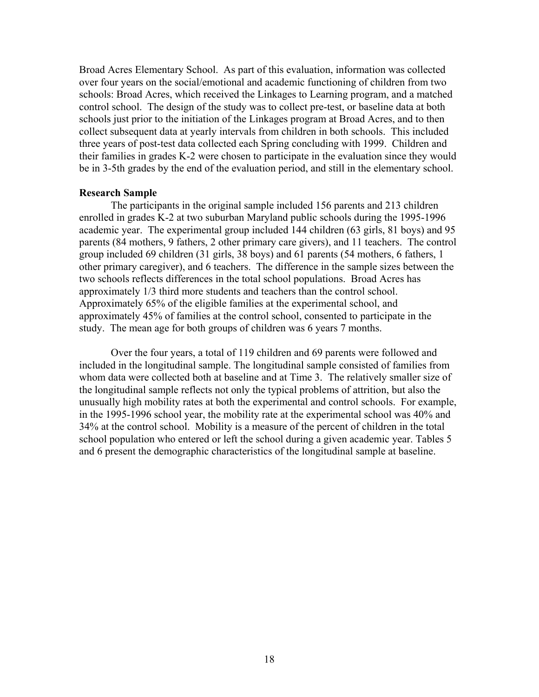Broad Acres Elementary School. As part of this evaluation, information was collected over four years on the social/emotional and academic functioning of children from two schools: Broad Acres, which received the Linkages to Learning program, and a matched control school. The design of the study was to collect pre-test, or baseline data at both schools just prior to the initiation of the Linkages program at Broad Acres, and to then collect subsequent data at yearly intervals from children in both schools. This included three years of post-test data collected each Spring concluding with 1999. Children and their families in grades K-2 were chosen to participate in the evaluation since they would be in 3-5th grades by the end of the evaluation period, and still in the elementary school.

### **Research Sample**

The participants in the original sample included 156 parents and 213 children enrolled in grades K-2 at two suburban Maryland public schools during the 1995-1996 academic year. The experimental group included 144 children (63 girls, 81 boys) and 95 parents (84 mothers, 9 fathers, 2 other primary care givers), and 11 teachers. The control group included 69 children (31 girls, 38 boys) and 61 parents (54 mothers, 6 fathers, 1 other primary caregiver), and 6 teachers. The difference in the sample sizes between the two schools reflects differences in the total school populations. Broad Acres has approximately 1/3 third more students and teachers than the control school. Approximately 65% of the eligible families at the experimental school, and approximately 45% of families at the control school, consented to participate in the study. The mean age for both groups of children was 6 years 7 months.

Over the four years, a total of 119 children and 69 parents were followed and included in the longitudinal sample. The longitudinal sample consisted of families from whom data were collected both at baseline and at Time 3. The relatively smaller size of the longitudinal sample reflects not only the typical problems of attrition, but also the unusually high mobility rates at both the experimental and control schools. For example, in the 1995-1996 school year, the mobility rate at the experimental school was 40% and 34% at the control school. Mobility is a measure of the percent of children in the total school population who entered or left the school during a given academic year. Tables 5 and 6 present the demographic characteristics of the longitudinal sample at baseline.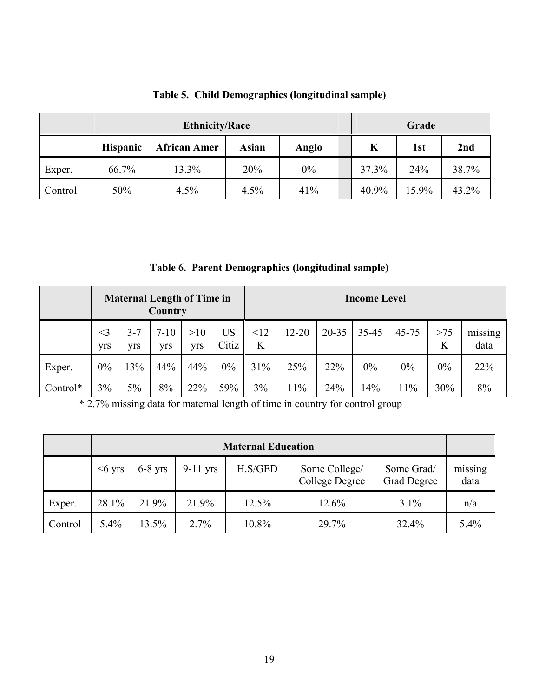|         |                 | <b>Ethnicity/Race</b> |              | Grade |       |       |       |
|---------|-----------------|-----------------------|--------------|-------|-------|-------|-------|
|         | <b>Hispanic</b> | <b>African Amer</b>   | <b>Asian</b> | Anglo | K     | 1st   | 2nd   |
| Exper.  | 66.7%           | 13.3%                 | 20%          | 0%    | 37.3% | 24%   | 38.7% |
| Control | 50%             | 4.5%                  | 4.5%         | 41%   | 40.9% | 15.9% | 43.2% |

# **Table 5. Child Demographics (longitudinal sample)**

**Table 6. Parent Demographics (longitudinal sample)** 

|          | <b>Maternal Length of Time in</b><br>Country |                |                 |            |             |          | <b>Income Level</b> |           |       |           |          |                 |
|----------|----------------------------------------------|----------------|-----------------|------------|-------------|----------|---------------------|-----------|-------|-----------|----------|-----------------|
|          | $<$ 3<br>yrs                                 | $3 - 7$<br>yrs | $7 - 10$<br>yrs | >10<br>yrs | US<br>Citiz | <12<br>K | $12 - 20$           | $20 - 35$ | 35-45 | $45 - 75$ | >75<br>K | missing<br>data |
| Exper.   | $0\%$                                        | 13%            | 44%             | 44%        | 0%          | 31%      | 25%                 | 22%       | 0%    | $0\%$     | 0%       | 22%             |
| Control* | 3%                                           | 5%             | 8%              | 22%        | 59%         | 3%       | 11%                 | 24%       | 14%   | 11%       | 30%      | 8%              |

\* 2.7% missing data for maternal length of time in country for control group

| <b>Maternal Education</b> |          |           |            |         |                                 |                           |                 |
|---------------------------|----------|-----------|------------|---------|---------------------------------|---------------------------|-----------------|
|                           | $<6$ yrs | $6-8$ yrs | $9-11$ yrs | H.S/GED | Some College/<br>College Degree | Some Grad/<br>Grad Degree | missing<br>data |
| Exper.                    | 28.1%    | 21.9%     | 21.9%      | 12.5%   | 12.6%                           | 3.1%                      | n/a             |
| Control                   | 5.4%     | 13.5%     | 2.7%       | 10.8%   | 29.7%                           | 32.4%                     | 5.4%            |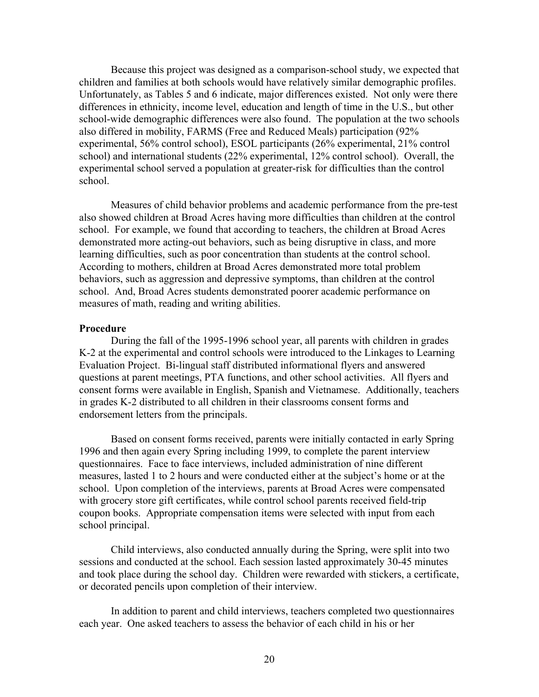Because this project was designed as a comparison-school study, we expected that children and families at both schools would have relatively similar demographic profiles. Unfortunately, as Tables 5 and 6 indicate, major differences existed. Not only were there differences in ethnicity, income level, education and length of time in the U.S., but other school-wide demographic differences were also found. The population at the two schools also differed in mobility, FARMS (Free and Reduced Meals) participation (92% experimental, 56% control school), ESOL participants (26% experimental, 21% control school) and international students (22% experimental, 12% control school). Overall, the experimental school served a population at greater-risk for difficulties than the control school.

Measures of child behavior problems and academic performance from the pre-test also showed children at Broad Acres having more difficulties than children at the control school. For example, we found that according to teachers, the children at Broad Acres demonstrated more acting-out behaviors, such as being disruptive in class, and more learning difficulties, such as poor concentration than students at the control school. According to mothers, children at Broad Acres demonstrated more total problem behaviors, such as aggression and depressive symptoms, than children at the control school. And, Broad Acres students demonstrated poorer academic performance on measures of math, reading and writing abilities.

#### **Procedure**

During the fall of the 1995-1996 school year, all parents with children in grades K-2 at the experimental and control schools were introduced to the Linkages to Learning Evaluation Project. Bi-lingual staff distributed informational flyers and answered questions at parent meetings, PTA functions, and other school activities. All flyers and consent forms were available in English, Spanish and Vietnamese. Additionally, teachers in grades K-2 distributed to all children in their classrooms consent forms and endorsement letters from the principals.

Based on consent forms received, parents were initially contacted in early Spring 1996 and then again every Spring including 1999, to complete the parent interview questionnaires. Face to face interviews, included administration of nine different measures, lasted 1 to 2 hours and were conducted either at the subject's home or at the school. Upon completion of the interviews, parents at Broad Acres were compensated with grocery store gift certificates, while control school parents received field-trip coupon books. Appropriate compensation items were selected with input from each school principal.

Child interviews, also conducted annually during the Spring, were split into two sessions and conducted at the school. Each session lasted approximately 30-45 minutes and took place during the school day. Children were rewarded with stickers, a certificate, or decorated pencils upon completion of their interview.

In addition to parent and child interviews, teachers completed two questionnaires each year. One asked teachers to assess the behavior of each child in his or her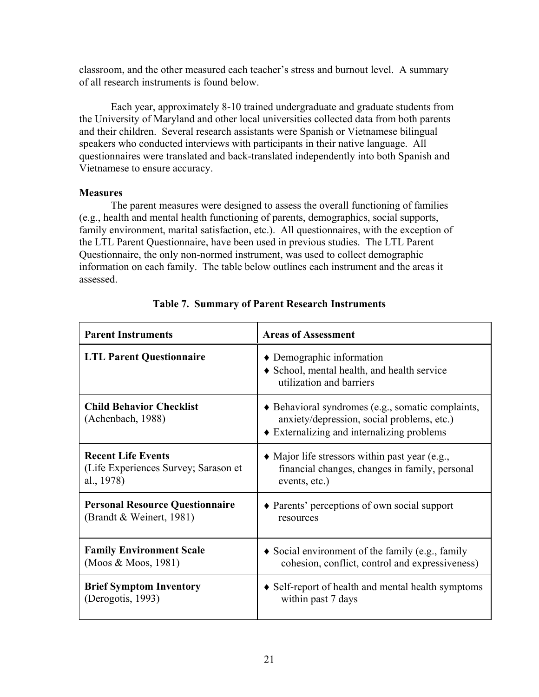classroom, and the other measured each teacher's stress and burnout level. A summary of all research instruments is found below.

Each year, approximately 8-10 trained undergraduate and graduate students from the University of Maryland and other local universities collected data from both parents and their children. Several research assistants were Spanish or Vietnamese bilingual speakers who conducted interviews with participants in their native language. All questionnaires were translated and back-translated independently into both Spanish and Vietnamese to ensure accuracy.

## **Measures**

The parent measures were designed to assess the overall functioning of families (e.g., health and mental health functioning of parents, demographics, social supports, family environment, marital satisfaction, etc.). All questionnaires, with the exception of the LTL Parent Questionnaire, have been used in previous studies. The LTL Parent Questionnaire, the only non-normed instrument, was used to collect demographic information on each family. The table below outlines each instrument and the areas it assessed.

| <b>Parent Instruments</b>                            | <b>Areas of Assessment</b>                                                                                                                    |
|------------------------------------------------------|-----------------------------------------------------------------------------------------------------------------------------------------------|
| <b>LTL Parent Questionnaire</b>                      | $\bullet$ Demographic information<br>• School, mental health, and health service<br>utilization and barriers                                  |
| <b>Child Behavior Checklist</b><br>(Achenbach, 1988) | • Behavioral syndromes (e.g., somatic complaints,<br>anxiety/depression, social problems, etc.)<br>• Externalizing and internalizing problems |
| <b>Recent Life Events</b>                            | $\bullet$ Major life stressors within past year (e.g.,                                                                                        |
| (Life Experiences Survey; Sarason et                 | financial changes, changes in family, personal                                                                                                |
| al., 1978)                                           | events, etc.)                                                                                                                                 |
| <b>Personal Resource Questionnaire</b>               | • Parents' perceptions of own social support                                                                                                  |
| (Brandt & Weinert, 1981)                             | resources                                                                                                                                     |
| <b>Family Environment Scale</b>                      | $\bullet$ Social environment of the family (e.g., family                                                                                      |
| (Moos & Moos, 1981)                                  | cohesion, conflict, control and expressiveness)                                                                                               |
| <b>Brief Symptom Inventory</b>                       | • Self-report of health and mental health symptoms                                                                                            |
| (Derogotis, 1993)                                    | within past 7 days                                                                                                                            |

## **Table 7. Summary of Parent Research Instruments**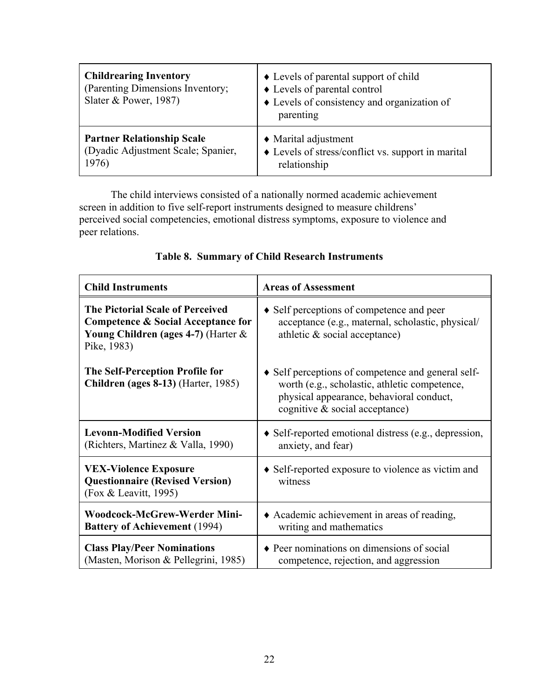| <b>Childrearing Inventory</b><br>(Parenting Dimensions Inventory;<br>Slater & Power, $1987$ ) | • Levels of parental support of child<br>♦ Levels of parental control<br>• Levels of consistency and organization of<br>parenting |
|-----------------------------------------------------------------------------------------------|-----------------------------------------------------------------------------------------------------------------------------------|
| <b>Partner Relationship Scale</b>                                                             | $\triangleleft$ Marital adjustment                                                                                                |
| (Dyadic Adjustment Scale; Spanier,                                                            | $\bullet$ Levels of stress/conflict vs. support in marital                                                                        |
| 1976)                                                                                         | relationship                                                                                                                      |

The child interviews consisted of a nationally normed academic achievement screen in addition to five self-report instruments designed to measure childrens' perceived social competencies, emotional distress symptoms, exposure to violence and peer relations.

| <b>Child Instruments</b>                                                                                                                       | <b>Areas of Assessment</b>                                                                                                                                                           |
|------------------------------------------------------------------------------------------------------------------------------------------------|--------------------------------------------------------------------------------------------------------------------------------------------------------------------------------------|
| <b>The Pictorial Scale of Perceived</b><br>Competence & Social Acceptance for<br><b>Young Children (ages 4-7) (Harter &amp;</b><br>Pike, 1983) | • Self perceptions of competence and peer<br>acceptance (e.g., maternal, scholastic, physical/<br>athletic $\&$ social acceptance)                                                   |
| The Self-Perception Profile for<br><b>Children (ages 8-13)</b> (Harter, 1985)                                                                  | • Self perceptions of competence and general self-<br>worth (e.g., scholastic, athletic competence,<br>physical appearance, behavioral conduct,<br>cognitive $\&$ social acceptance) |
| <b>Levonn-Modified Version</b><br>(Richters, Martinez & Valla, 1990)                                                                           | $\bullet$ Self-reported emotional distress (e.g., depression,<br>anxiety, and fear)                                                                                                  |
| <b>VEX-Violence Exposure</b><br><b>Questionnaire (Revised Version)</b><br>(Fox & Leavitt, 1995)                                                | • Self-reported exposure to violence as victim and<br>witness                                                                                                                        |
| <b>Woodcock-McGrew-Werder Mini-</b><br><b>Battery of Achievement (1994)</b>                                                                    | • Academic achievement in areas of reading,<br>writing and mathematics                                                                                                               |
| <b>Class Play/Peer Nominations</b><br>(Masten, Morison & Pellegrini, 1985)                                                                     | • Peer nominations on dimensions of social<br>competence, rejection, and aggression                                                                                                  |

## **Table 8. Summary of Child Research Instruments**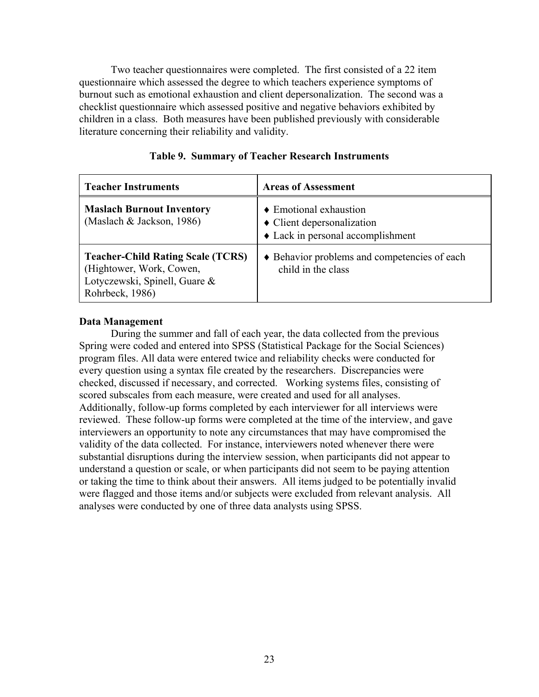Two teacher questionnaires were completed. The first consisted of a 22 item questionnaire which assessed the degree to which teachers experience symptoms of burnout such as emotional exhaustion and client depersonalization. The second was a checklist questionnaire which assessed positive and negative behaviors exhibited by children in a class. Both measures have been published previously with considerable literature concerning their reliability and validity.

| <b>Teacher Instruments</b>                                                                                               | <b>Areas of Assessment</b>                                                                                          |
|--------------------------------------------------------------------------------------------------------------------------|---------------------------------------------------------------------------------------------------------------------|
| <b>Maslach Burnout Inventory</b><br>(Maslach & Jackson, 1986)                                                            | $\triangle$ Emotional exhaustion<br>$\bullet$ Client depersonalization<br>$\bullet$ Lack in personal accomplishment |
| <b>Teacher-Child Rating Scale (TCRS)</b><br>(Hightower, Work, Cowen,<br>Lotyczewski, Spinell, Guare &<br>Rohrbeck, 1986) | • Behavior problems and competencies of each<br>child in the class                                                  |

|  |  |  |  | Table 9. Summary of Teacher Research Instruments |
|--|--|--|--|--------------------------------------------------|
|--|--|--|--|--------------------------------------------------|

## **Data Management**

During the summer and fall of each year, the data collected from the previous Spring were coded and entered into SPSS (Statistical Package for the Social Sciences) program files. All data were entered twice and reliability checks were conducted for every question using a syntax file created by the researchers. Discrepancies were checked, discussed if necessary, and corrected. Working systems files, consisting of scored subscales from each measure, were created and used for all analyses. Additionally, follow-up forms completed by each interviewer for all interviews were reviewed. These follow-up forms were completed at the time of the interview, and gave interviewers an opportunity to note any circumstances that may have compromised the validity of the data collected. For instance, interviewers noted whenever there were substantial disruptions during the interview session, when participants did not appear to understand a question or scale, or when participants did not seem to be paying attention or taking the time to think about their answers. All items judged to be potentially invalid were flagged and those items and/or subjects were excluded from relevant analysis. All analyses were conducted by one of three data analysts using SPSS.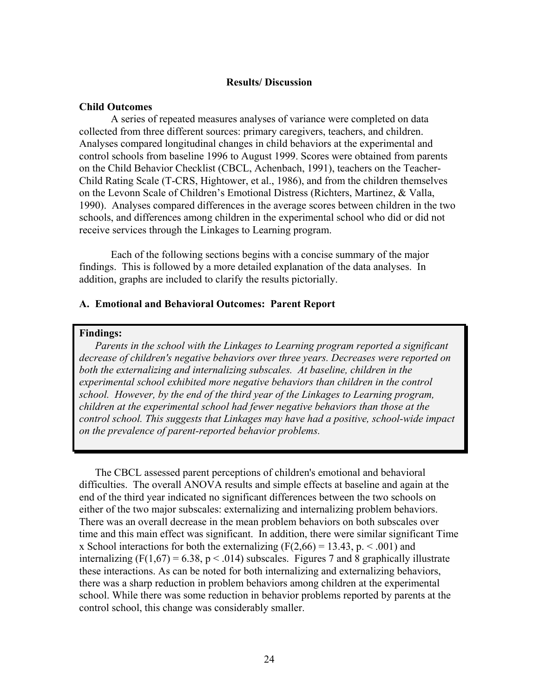## **Results/ Discussion**

### **Child Outcomes**

A series of repeated measures analyses of variance were completed on data collected from three different sources: primary caregivers, teachers, and children. Analyses compared longitudinal changes in child behaviors at the experimental and control schools from baseline 1996 to August 1999. Scores were obtained from parents on the Child Behavior Checklist (CBCL, Achenbach, 1991), teachers on the Teacher-Child Rating Scale (T-CRS, Hightower, et al., 1986), and from the children themselves on the Levonn Scale of Children's Emotional Distress (Richters, Martinez, & Valla, 1990). Analyses compared differences in the average scores between children in the two schools, and differences among children in the experimental school who did or did not receive services through the Linkages to Learning program.

Each of the following sections begins with a concise summary of the major findings. This is followed by a more detailed explanation of the data analyses. In addition, graphs are included to clarify the results pictorially.

### **A. Emotional and Behavioral Outcomes: Parent Report**

### **Findings:**

*Parents in the school with the Linkages to Learning program reported a significant decrease of children's negative behaviors over three years. Decreases were reported on both the externalizing and internalizing subscales. At baseline, children in the experimental school exhibited more negative behaviors than children in the control school. However, by the end of the third year of the Linkages to Learning program, children at the experimental school had fewer negative behaviors than those at the control school. This suggests that Linkages may have had a positive, school-wide impact on the prevalence of parent-reported behavior problems.* 

The CBCL assessed parent perceptions of children's emotional and behavioral difficulties. The overall ANOVA results and simple effects at baseline and again at the end of the third year indicated no significant differences between the two schools on either of the two major subscales: externalizing and internalizing problem behaviors. There was an overall decrease in the mean problem behaviors on both subscales over time and this main effect was significant. In addition, there were similar significant Time x School interactions for both the externalizing  $(F(2,66) = 13.43, p. \le 0.001)$  and internalizing (F(1,67) = 6.38, p < .014) subscales. Figures 7 and 8 graphically illustrate these interactions. As can be noted for both internalizing and externalizing behaviors, there was a sharp reduction in problem behaviors among children at the experimental school. While there was some reduction in behavior problems reported by parents at the control school, this change was considerably smaller.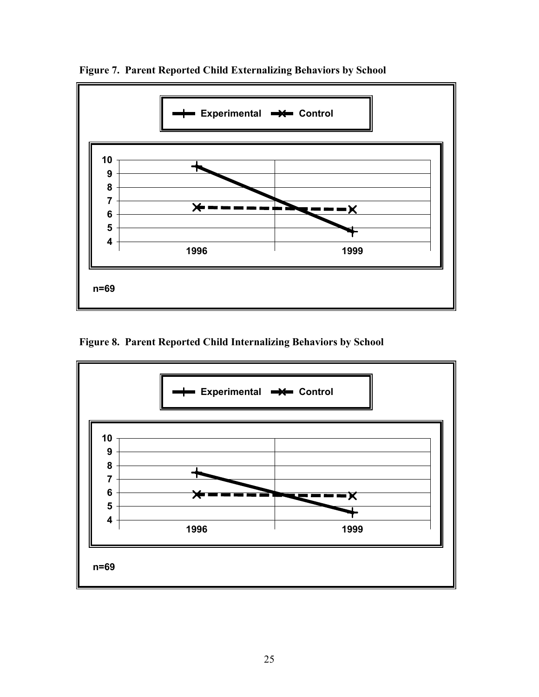

**Figure 7. Parent Reported Child Externalizing Behaviors by School** 

**Figure 8. Parent Reported Child Internalizing Behaviors by School** 

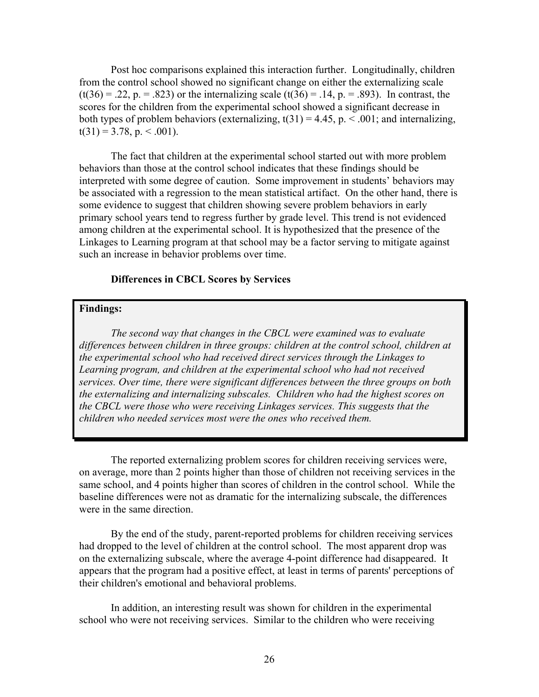Post hoc comparisons explained this interaction further. Longitudinally, children from the control school showed no significant change on either the externalizing scale  $(t(36) = .22, p = .823)$  or the internalizing scale  $(t(36) = .14, p = .893)$ . In contrast, the scores for the children from the experimental school showed a significant decrease in both types of problem behaviors (externalizing,  $t(31) = 4.45$ , p.  $\lt 0.001$ ; and internalizing,  $t(31) = 3.78$ , p. < .001).

The fact that children at the experimental school started out with more problem behaviors than those at the control school indicates that these findings should be interpreted with some degree of caution. Some improvement in students' behaviors may be associated with a regression to the mean statistical artifact. On the other hand, there is some evidence to suggest that children showing severe problem behaviors in early primary school years tend to regress further by grade level. This trend is not evidenced among children at the experimental school. It is hypothesized that the presence of the Linkages to Learning program at that school may be a factor serving to mitigate against such an increase in behavior problems over time.

### **Differences in CBCL Scores by Services**

### **Findings:**

*The second way that changes in the CBCL were examined was to evaluate differences between children in three groups: children at the control school, children at the experimental school who had received direct services through the Linkages to Learning program, and children at the experimental school who had not received services. Over time, there were significant differences between the three groups on both the externalizing and internalizing subscales. Children who had the highest scores on the CBCL were those who were receiving Linkages services. This suggests that the children who needed services most were the ones who received them.* 

The reported externalizing problem scores for children receiving services were, on average, more than 2 points higher than those of children not receiving services in the same school, and 4 points higher than scores of children in the control school. While the baseline differences were not as dramatic for the internalizing subscale, the differences were in the same direction.

By the end of the study, parent-reported problems for children receiving services had dropped to the level of children at the control school. The most apparent drop was on the externalizing subscale, where the average 4-point difference had disappeared. It appears that the program had a positive effect, at least in terms of parents' perceptions of their children's emotional and behavioral problems.

In addition, an interesting result was shown for children in the experimental school who were not receiving services. Similar to the children who were receiving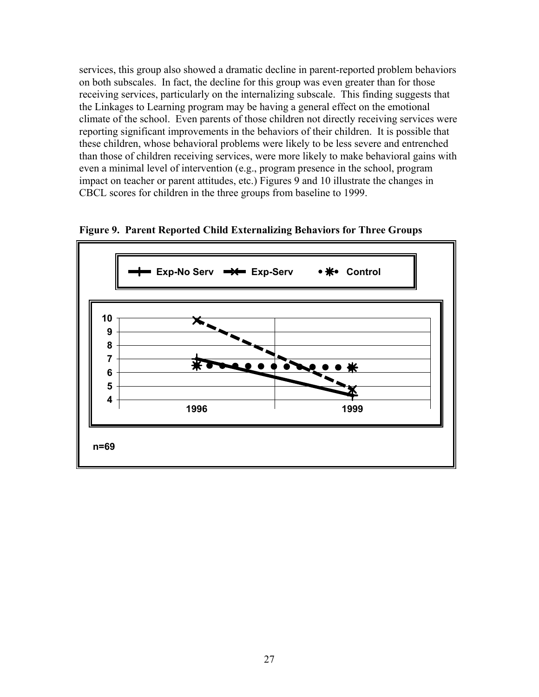services, this group also showed a dramatic decline in parent-reported problem behaviors on both subscales. In fact, the decline for this group was even greater than for those receiving services, particularly on the internalizing subscale. This finding suggests that the Linkages to Learning program may be having a general effect on the emotional climate of the school. Even parents of those children not directly receiving services were reporting significant improvements in the behaviors of their children. It is possible that these children, whose behavioral problems were likely to be less severe and entrenched than those of children receiving services, were more likely to make behavioral gains with even a minimal level of intervention (e.g., program presence in the school, program impact on teacher or parent attitudes, etc.) Figures 9 and 10 illustrate the changes in CBCL scores for children in the three groups from baseline to 1999.



**Figure 9. Parent Reported Child Externalizing Behaviors for Three Groups**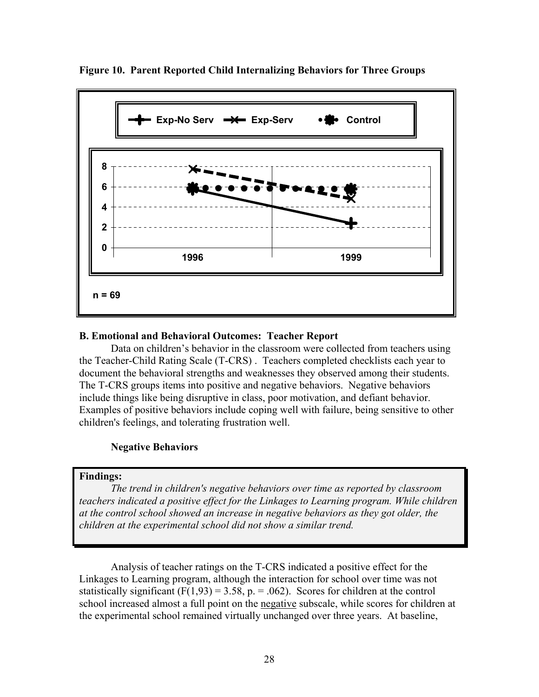

**Figure 10. Parent Reported Child Internalizing Behaviors for Three Groups** 

## **B. Emotional and Behavioral Outcomes: Teacher Report**

Data on children's behavior in the classroom were collected from teachers using the Teacher-Child Rating Scale (T-CRS) . Teachers completed checklists each year to document the behavioral strengths and weaknesses they observed among their students. The T-CRS groups items into positive and negative behaviors. Negative behaviors include things like being disruptive in class, poor motivation, and defiant behavior. Examples of positive behaviors include coping well with failure, being sensitive to other children's feelings, and tolerating frustration well.

## **Negative Behaviors**

## **Findings:**

*The trend in children's negative behaviors over time as reported by classroom teachers indicated a positive effect for the Linkages to Learning program. While children at the control school showed an increase in negative behaviors as they got older, the children at the experimental school did not show a similar trend.* 

Analysis of teacher ratings on the T-CRS indicated a positive effect for the Linkages to Learning program, although the interaction for school over time was not statistically significant  $(F(1,93) = 3.58, p. = .062)$ . Scores for children at the control school increased almost a full point on the negative subscale, while scores for children at the experimental school remained virtually unchanged over three years. At baseline,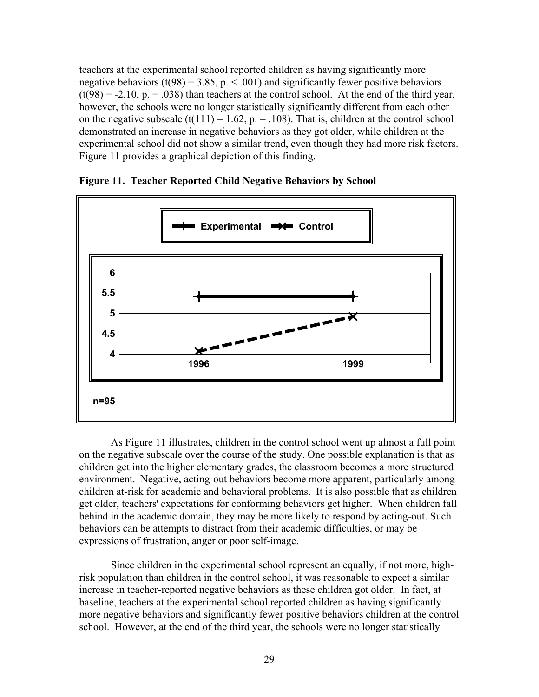teachers at the experimental school reported children as having significantly more negative behaviors (t(98) = 3.85, p.  $\lt$  .001) and significantly fewer positive behaviors  $(t(98) = -2.10, p = .038)$  than teachers at the control school. At the end of the third year, however, the schools were no longer statistically significantly different from each other on the negative subscale (t(111) = 1.62,  $p = 0.108$ ). That is, children at the control school demonstrated an increase in negative behaviors as they got older, while children at the experimental school did not show a similar trend, even though they had more risk factors. Figure 11 provides a graphical depiction of this finding.



## **Figure 11. Teacher Reported Child Negative Behaviors by School**

As Figure 11 illustrates, children in the control school went up almost a full point on the negative subscale over the course of the study. One possible explanation is that as children get into the higher elementary grades, the classroom becomes a more structured environment. Negative, acting-out behaviors become more apparent, particularly among children at-risk for academic and behavioral problems. It is also possible that as children get older, teachers' expectations for conforming behaviors get higher. When children fall behind in the academic domain, they may be more likely to respond by acting-out. Such behaviors can be attempts to distract from their academic difficulties, or may be expressions of frustration, anger or poor self-image.

Since children in the experimental school represent an equally, if not more, highrisk population than children in the control school, it was reasonable to expect a similar increase in teacher-reported negative behaviors as these children got older. In fact, at baseline, teachers at the experimental school reported children as having significantly more negative behaviors and significantly fewer positive behaviors children at the control school. However, at the end of the third year, the schools were no longer statistically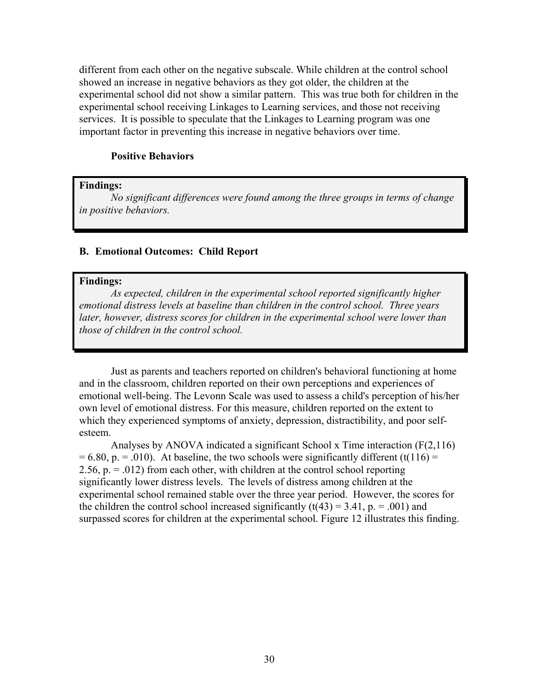different from each other on the negative subscale. While children at the control school showed an increase in negative behaviors as they got older, the children at the experimental school did not show a similar pattern. This was true both for children in the experimental school receiving Linkages to Learning services, and those not receiving services. It is possible to speculate that the Linkages to Learning program was one important factor in preventing this increase in negative behaviors over time.

### **Positive Behaviors**

#### **Findings:**

*No significant differences were found among the three groups in terms of change in positive behaviors.* 

### **B. Emotional Outcomes: Child Report**

#### **Findings:**

*As expected, children in the experimental school reported significantly higher emotional distress levels at baseline than children in the control school. Three years later, however, distress scores for children in the experimental school were lower than those of children in the control school.* 

Just as parents and teachers reported on children's behavioral functioning at home and in the classroom, children reported on their own perceptions and experiences of emotional well-being. The Levonn Scale was used to assess a child's perception of his/her own level of emotional distress. For this measure, children reported on the extent to which they experienced symptoms of anxiety, depression, distractibility, and poor selfesteem.

Analyses by ANOVA indicated a significant School x Time interaction (F(2,116)  $= 6.80$ , p.  $= .010$ ). At baseline, the two schools were significantly different (t(116)  $=$ 2.56,  $p = 0.012$ ) from each other, with children at the control school reporting significantly lower distress levels. The levels of distress among children at the experimental school remained stable over the three year period. However, the scores for the children the control school increased significantly  $(t(43) = 3.41, p = .001)$  and surpassed scores for children at the experimental school. Figure 12 illustrates this finding.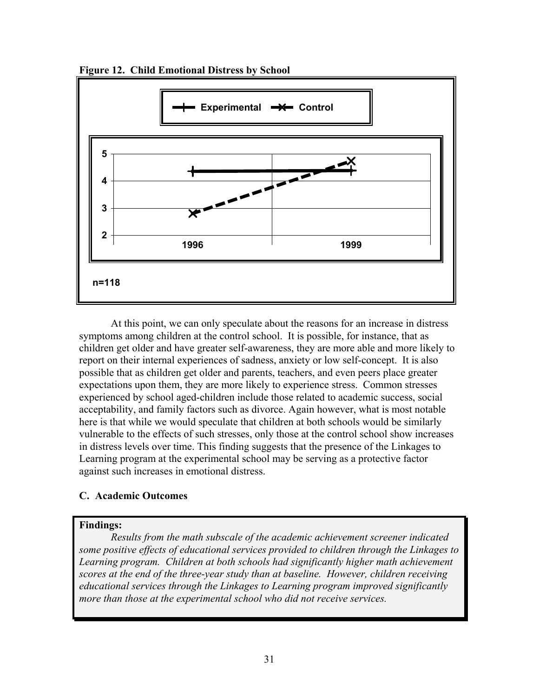



At this point, we can only speculate about the reasons for an increase in distress symptoms among children at the control school. It is possible, for instance, that as children get older and have greater self-awareness, they are more able and more likely to report on their internal experiences of sadness, anxiety or low self-concept. It is also possible that as children get older and parents, teachers, and even peers place greater expectations upon them, they are more likely to experience stress. Common stresses experienced by school aged-children include those related to academic success, social acceptability, and family factors such as divorce. Again however, what is most notable here is that while we would speculate that children at both schools would be similarly vulnerable to the effects of such stresses, only those at the control school show increases in distress levels over time. This finding suggests that the presence of the Linkages to Learning program at the experimental school may be serving as a protective factor against such increases in emotional distress.

## **C. Academic Outcomes**

## **Findings:**

*Results from the math subscale of the academic achievement screener indicated some positive effects of educational services provided to children through the Linkages to Learning program. Children at both schools had significantly higher math achievement scores at the end of the three-year study than at baseline. However, children receiving educational services through the Linkages to Learning program improved significantly more than those at the experimental school who did not receive services.*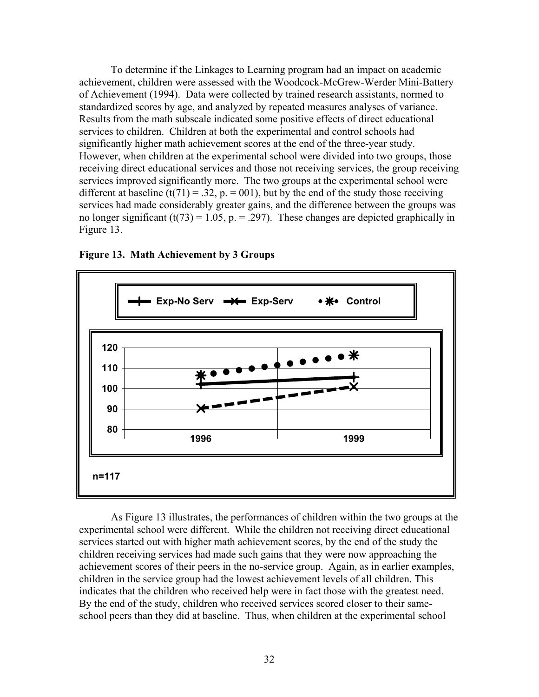To determine if the Linkages to Learning program had an impact on academic achievement, children were assessed with the Woodcock-McGrew-Werder Mini-Battery of Achievement (1994). Data were collected by trained research assistants, normed to standardized scores by age, and analyzed by repeated measures analyses of variance. Results from the math subscale indicated some positive effects of direct educational services to children. Children at both the experimental and control schools had significantly higher math achievement scores at the end of the three-year study. However, when children at the experimental school were divided into two groups, those receiving direct educational services and those not receiving services, the group receiving services improved significantly more. The two groups at the experimental school were different at baseline (t(71) = .32, p. = 001), but by the end of the study those receiving services had made considerably greater gains, and the difference between the groups was no longer significant (t(73) = 1.05, p. = .297). These changes are depicted graphically in Figure 13.



**Figure 13. Math Achievement by 3 Groups** 

As Figure 13 illustrates, the performances of children within the two groups at the experimental school were different. While the children not receiving direct educational services started out with higher math achievement scores, by the end of the study the children receiving services had made such gains that they were now approaching the achievement scores of their peers in the no-service group. Again, as in earlier examples, children in the service group had the lowest achievement levels of all children. This indicates that the children who received help were in fact those with the greatest need. By the end of the study, children who received services scored closer to their sameschool peers than they did at baseline. Thus, when children at the experimental school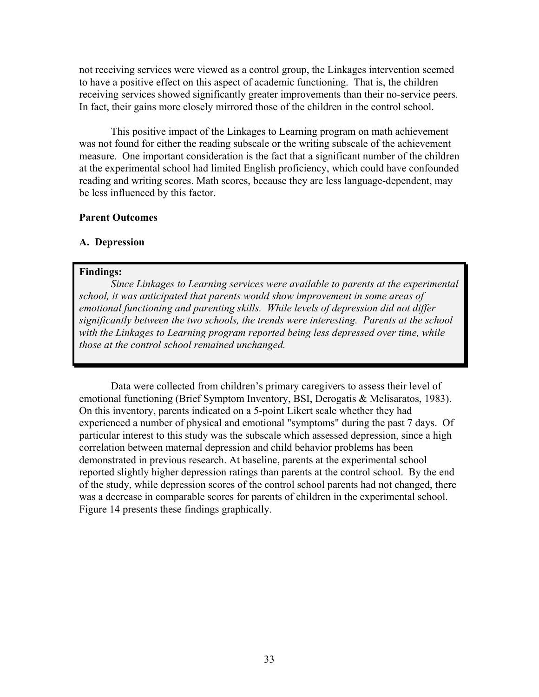not receiving services were viewed as a control group, the Linkages intervention seemed to have a positive effect on this aspect of academic functioning. That is, the children receiving services showed significantly greater improvements than their no-service peers. In fact, their gains more closely mirrored those of the children in the control school.

This positive impact of the Linkages to Learning program on math achievement was not found for either the reading subscale or the writing subscale of the achievement measure. One important consideration is the fact that a significant number of the children at the experimental school had limited English proficiency, which could have confounded reading and writing scores. Math scores, because they are less language-dependent, may be less influenced by this factor.

## **Parent Outcomes**

### **A. Depression**

## **Findings:**

*Since Linkages to Learning services were available to parents at the experimental school, it was anticipated that parents would show improvement in some areas of emotional functioning and parenting skills. While levels of depression did not differ significantly between the two schools, the trends were interesting. Parents at the school with the Linkages to Learning program reported being less depressed over time, while those at the control school remained unchanged.* 

Data were collected from children's primary caregivers to assess their level of emotional functioning (Brief Symptom Inventory, BSI, Derogatis & Melisaratos, 1983). On this inventory, parents indicated on a 5-point Likert scale whether they had experienced a number of physical and emotional "symptoms" during the past 7 days. Of particular interest to this study was the subscale which assessed depression, since a high correlation between maternal depression and child behavior problems has been demonstrated in previous research. At baseline, parents at the experimental school reported slightly higher depression ratings than parents at the control school. By the end of the study, while depression scores of the control school parents had not changed, there was a decrease in comparable scores for parents of children in the experimental school. Figure 14 presents these findings graphically.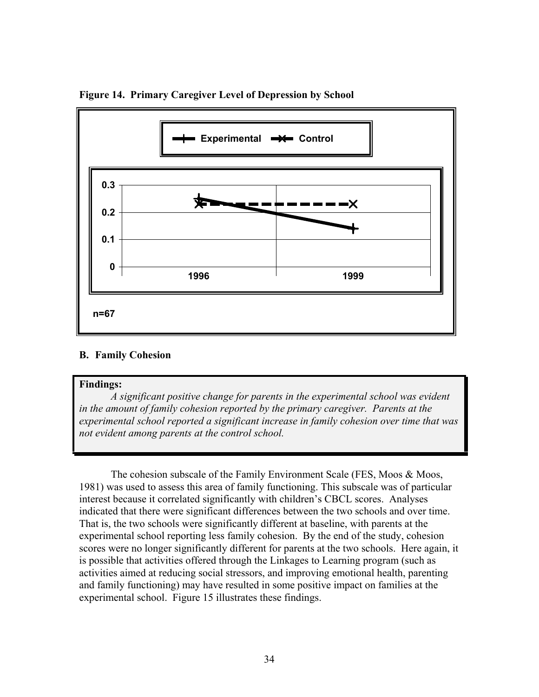

**Figure 14. Primary Caregiver Level of Depression by School** 

## **B. Family Cohesion**

### **Findings:**

*A significant positive change for parents in the experimental school was evident in the amount of family cohesion reported by the primary caregiver. Parents at the experimental school reported a significant increase in family cohesion over time that was not evident among parents at the control school.* 

The cohesion subscale of the Family Environment Scale (FES, Moos & Moos, 1981) was used to assess this area of family functioning. This subscale was of particular interest because it correlated significantly with children's CBCL scores. Analyses indicated that there were significant differences between the two schools and over time. That is, the two schools were significantly different at baseline, with parents at the experimental school reporting less family cohesion. By the end of the study, cohesion scores were no longer significantly different for parents at the two schools. Here again, it is possible that activities offered through the Linkages to Learning program (such as activities aimed at reducing social stressors, and improving emotional health, parenting and family functioning) may have resulted in some positive impact on families at the experimental school. Figure 15 illustrates these findings.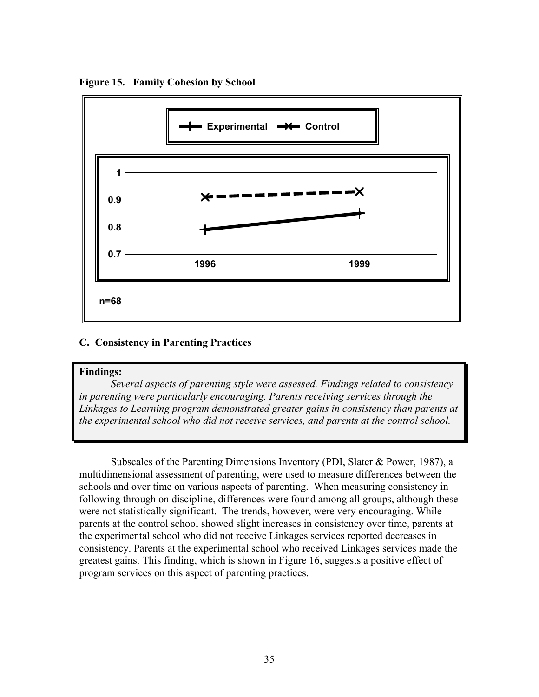

**Figure 15. Family Cohesion by School** 

## **C. Consistency in Parenting Practices**

#### **Findings:**

*Several aspects of parenting style were assessed. Findings related to consistency in parenting were particularly encouraging. Parents receiving services through the Linkages to Learning program demonstrated greater gains in consistency than parents at the experimental school who did not receive services, and parents at the control school.* 

Subscales of the Parenting Dimensions Inventory (PDI, Slater & Power, 1987), a multidimensional assessment of parenting, were used to measure differences between the schools and over time on various aspects of parenting. When measuring consistency in following through on discipline, differences were found among all groups, although these were not statistically significant. The trends, however, were very encouraging. While parents at the control school showed slight increases in consistency over time, parents at the experimental school who did not receive Linkages services reported decreases in consistency. Parents at the experimental school who received Linkages services made the greatest gains. This finding, which is shown in Figure 16, suggests a positive effect of program services on this aspect of parenting practices.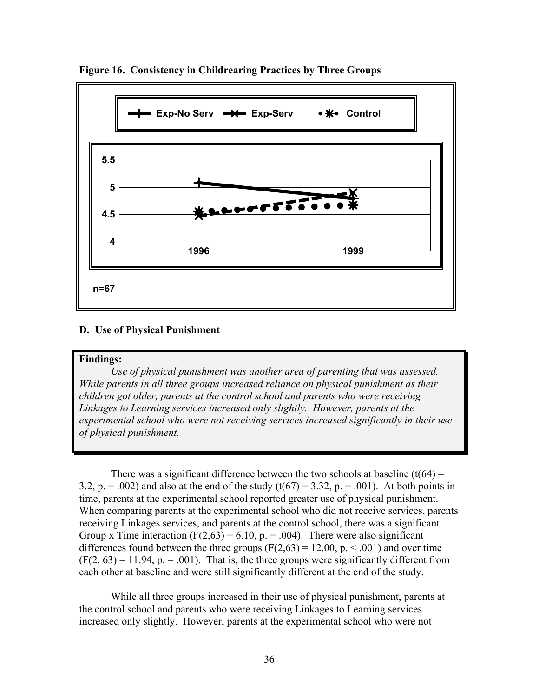

**Figure 16. Consistency in Childrearing Practices by Three Groups** 

## **D. Use of Physical Punishment**

### **Findings:**

*Use of physical punishment was another area of parenting that was assessed. While parents in all three groups increased reliance on physical punishment as their children got older, parents at the control school and parents who were receiving Linkages to Learning services increased only slightly. However, parents at the experimental school who were not receiving services increased significantly in their use of physical punishment.*

There was a significant difference between the two schools at baseline  $(t(64) =$ 3.2, p. = .002) and also at the end of the study  $(t(67) = 3.32, p = .001)$ . At both points in time, parents at the experimental school reported greater use of physical punishment. When comparing parents at the experimental school who did not receive services, parents receiving Linkages services, and parents at the control school, there was a significant Group x Time interaction (F(2,63) = 6.10, p. = .004). There were also significant differences found between the three groups  $(F(2,63) = 12.00, p. \le .001)$  and over time  $(F(2, 63) = 11.94, p = .001)$ . That is, the three groups were significantly different from each other at baseline and were still significantly different at the end of the study.

While all three groups increased in their use of physical punishment, parents at the control school and parents who were receiving Linkages to Learning services increased only slightly. However, parents at the experimental school who were not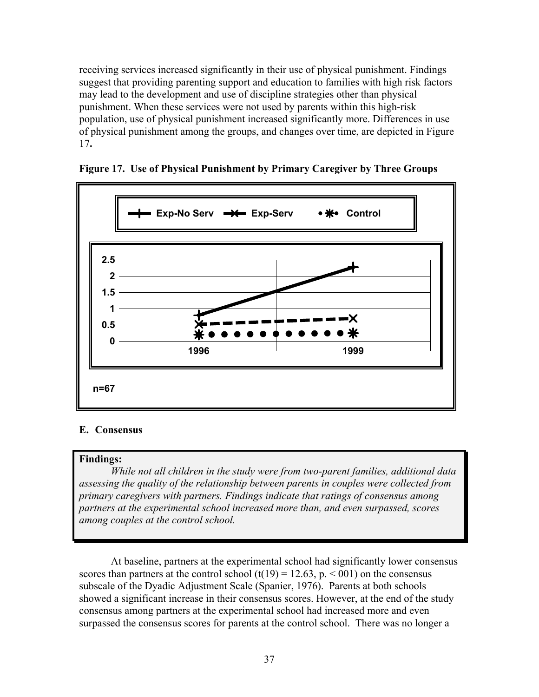receiving services increased significantly in their use of physical punishment. Findings suggest that providing parenting support and education to families with high risk factors may lead to the development and use of discipline strategies other than physical punishment. When these services were not used by parents within this high-risk population, use of physical punishment increased significantly more. Differences in use of physical punishment among the groups, and changes over time, are depicted in Figure 17**.**



**Figure 17. Use of Physical Punishment by Primary Caregiver by Three Groups** 

## **E. Consensus**

### **Findings:**

*While not all children in the study were from two-parent families, additional data assessing the quality of the relationship between parents in couples were collected from primary caregivers with partners. Findings indicate that ratings of consensus among partners at the experimental school increased more than, and even surpassed, scores among couples at the control school.* 

At baseline, partners at the experimental school had significantly lower consensus scores than partners at the control school  $(t(19) = 12.63, p. \le 001)$  on the consensus subscale of the Dyadic Adjustment Scale (Spanier, 1976). Parents at both schools showed a significant increase in their consensus scores. However, at the end of the study consensus among partners at the experimental school had increased more and even surpassed the consensus scores for parents at the control school. There was no longer a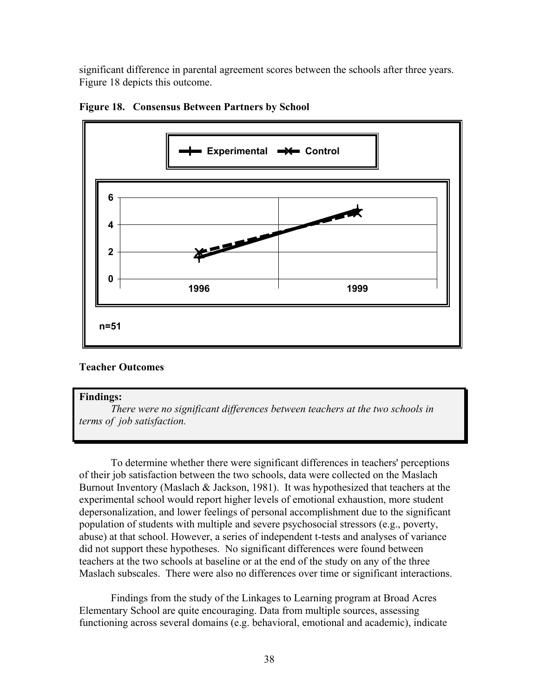significant difference in parental agreement scores between the schools after three years. Figure 18 depicts this outcome.



**Figure 18. Consensus Between Partners by School** 

## **Teacher Outcomes**

### **Findings:**

*There were no significant differences between teachers at the two schools in terms of job satisfaction.*

To determine whether there were significant differences in teachers' perceptions of their job satisfaction between the two schools, data were collected on the Maslach Burnout Inventory (Maslach & Jackson, 1981). It was hypothesized that teachers at the experimental school would report higher levels of emotional exhaustion, more student depersonalization, and lower feelings of personal accomplishment due to the significant population of students with multiple and severe psychosocial stressors (e.g., poverty, abuse) at that school. However, a series of independent t-tests and analyses of variance did not support these hypotheses. No significant differences were found between teachers at the two schools at baseline or at the end of the study on any of the three Maslach subscales. There were also no differences over time or significant interactions.

Findings from the study of the Linkages to Learning program at Broad Acres Elementary School are quite encouraging. Data from multiple sources, assessing functioning across several domains (e.g. behavioral, emotional and academic), indicate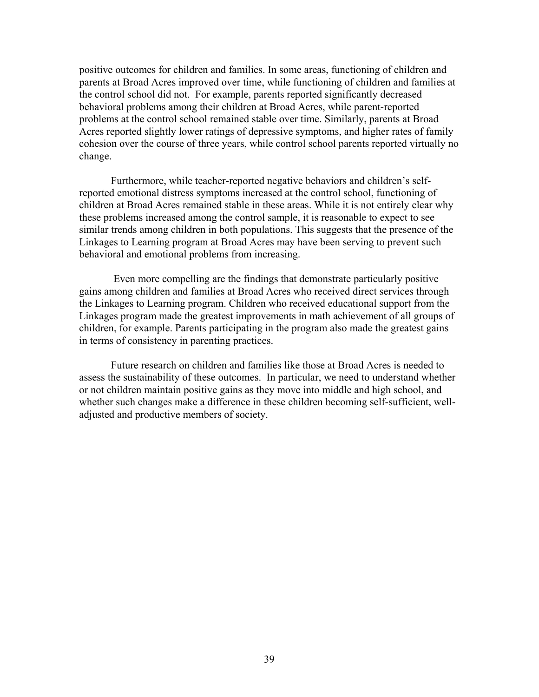positive outcomes for children and families. In some areas, functioning of children and parents at Broad Acres improved over time, while functioning of children and families at the control school did not. For example, parents reported significantly decreased behavioral problems among their children at Broad Acres, while parent-reported problems at the control school remained stable over time. Similarly, parents at Broad Acres reported slightly lower ratings of depressive symptoms, and higher rates of family cohesion over the course of three years, while control school parents reported virtually no change.

Furthermore, while teacher-reported negative behaviors and children's selfreported emotional distress symptoms increased at the control school, functioning of children at Broad Acres remained stable in these areas. While it is not entirely clear why these problems increased among the control sample, it is reasonable to expect to see similar trends among children in both populations. This suggests that the presence of the Linkages to Learning program at Broad Acres may have been serving to prevent such behavioral and emotional problems from increasing.

 Even more compelling are the findings that demonstrate particularly positive gains among children and families at Broad Acres who received direct services through the Linkages to Learning program. Children who received educational support from the Linkages program made the greatest improvements in math achievement of all groups of children, for example. Parents participating in the program also made the greatest gains in terms of consistency in parenting practices.

Future research on children and families like those at Broad Acres is needed to assess the sustainability of these outcomes. In particular, we need to understand whether or not children maintain positive gains as they move into middle and high school, and whether such changes make a difference in these children becoming self-sufficient, welladjusted and productive members of society.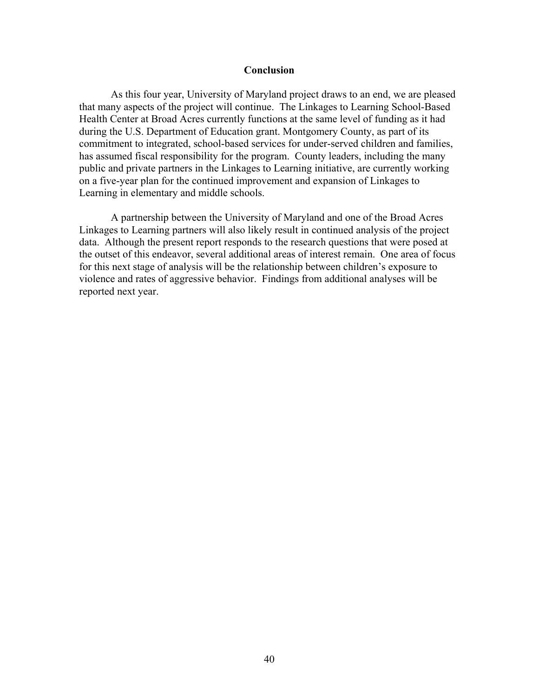### **Conclusion**

As this four year, University of Maryland project draws to an end, we are pleased that many aspects of the project will continue. The Linkages to Learning School-Based Health Center at Broad Acres currently functions at the same level of funding as it had during the U.S. Department of Education grant. Montgomery County, as part of its commitment to integrated, school-based services for under-served children and families, has assumed fiscal responsibility for the program. County leaders, including the many public and private partners in the Linkages to Learning initiative, are currently working on a five-year plan for the continued improvement and expansion of Linkages to Learning in elementary and middle schools.

A partnership between the University of Maryland and one of the Broad Acres Linkages to Learning partners will also likely result in continued analysis of the project data. Although the present report responds to the research questions that were posed at the outset of this endeavor, several additional areas of interest remain. One area of focus for this next stage of analysis will be the relationship between children's exposure to violence and rates of aggressive behavior. Findings from additional analyses will be reported next year.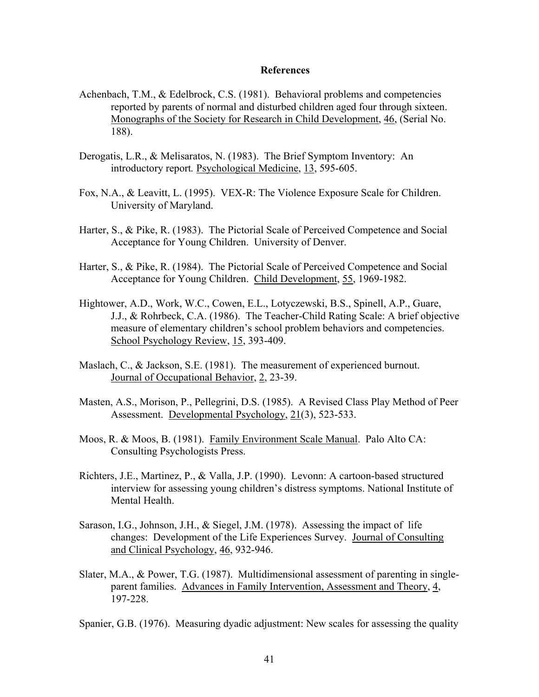### **References**

- Achenbach, T.M., & Edelbrock, C.S. (1981). Behavioral problems and competencies reported by parents of normal and disturbed children aged four through sixteen. Monographs of the Society for Research in Child Development, 46, (Serial No. 188).
- Derogatis, L.R., & Melisaratos, N. (1983). The Brief Symptom Inventory: An introductory report*.* Psychological Medicine, 13, 595-605.
- Fox, N.A., & Leavitt, L. (1995). VEX-R: The Violence Exposure Scale for Children. University of Maryland.
- Harter, S., & Pike, R. (1983). The Pictorial Scale of Perceived Competence and Social Acceptance for Young Children. University of Denver.
- Harter, S., & Pike, R. (1984). The Pictorial Scale of Perceived Competence and Social Acceptance for Young Children. Child Development, 55, 1969-1982.
- Hightower, A.D., Work, W.C., Cowen, E.L., Lotyczewski, B.S., Spinell, A.P., Guare, J.J., & Rohrbeck, C.A. (1986). The Teacher-Child Rating Scale: A brief objective measure of elementary children's school problem behaviors and competencies. School Psychology Review, 15, 393-409.
- Maslach, C., & Jackson, S.E. (1981). The measurement of experienced burnout. Journal of Occupational Behavior, 2, 23-39.
- Masten, A.S., Morison, P., Pellegrini, D.S. (1985). A Revised Class Play Method of Peer Assessment. Developmental Psychology, 21(3), 523-533.
- Moos, R. & Moos, B. (1981). Family Environment Scale Manual. Palo Alto CA: Consulting Psychologists Press.
- Richters, J.E., Martinez, P., & Valla, J.P. (1990). Levonn: A cartoon-based structured interview for assessing young children's distress symptoms. National Institute of Mental Health.
- Sarason, I.G., Johnson, J.H., & Siegel, J.M. (1978). Assessing the impact of life changes: Development of the Life Experiences Survey. Journal of Consulting and Clinical Psychology, 46, 932-946.
- Slater, M.A., & Power, T.G. (1987). Multidimensional assessment of parenting in singleparent families. Advances in Family Intervention, Assessment and Theory, 4, 197-228.

Spanier, G.B. (1976). Measuring dyadic adjustment: New scales for assessing the quality